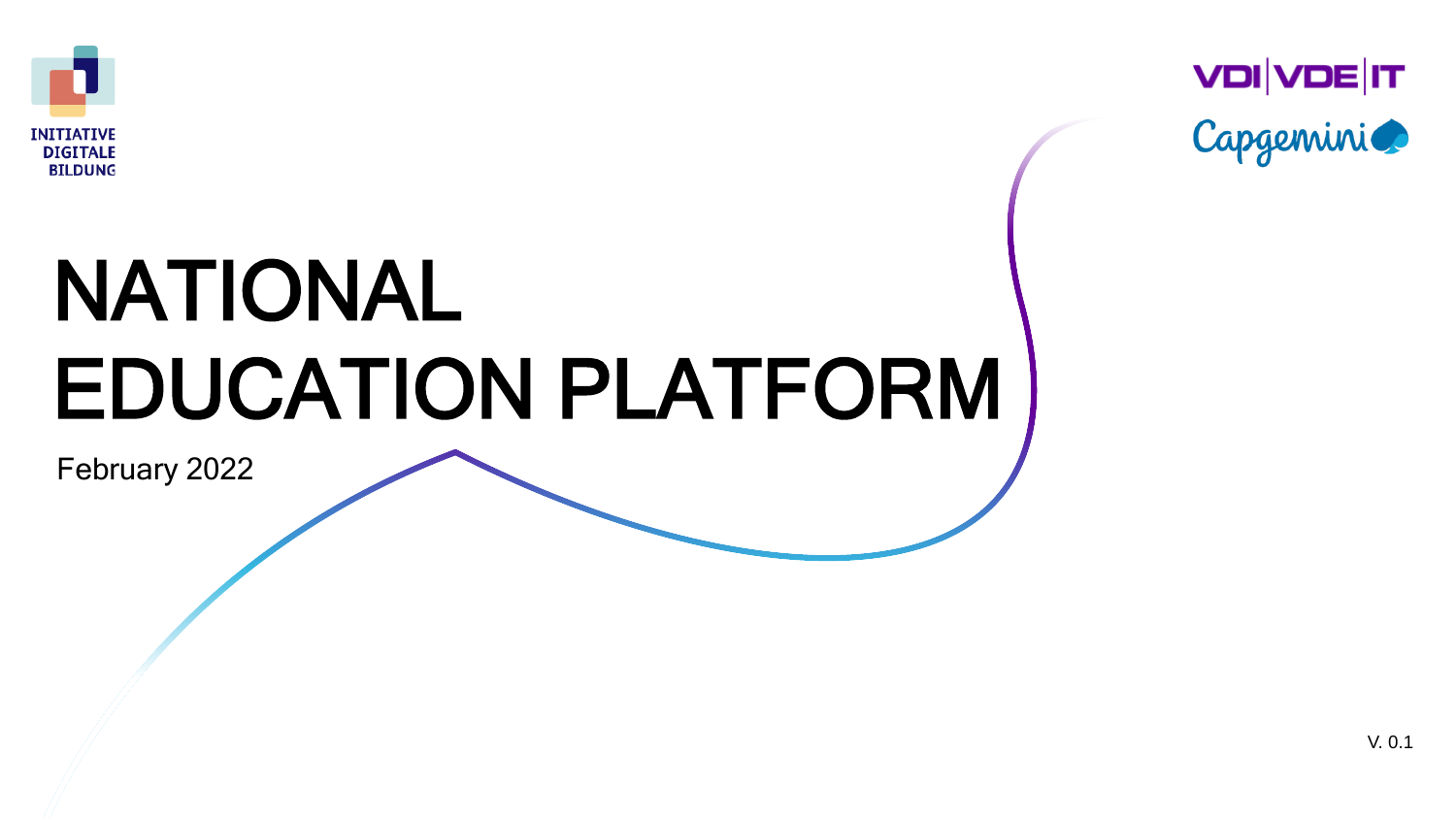





# NATIONAL EDUCATION PLATFORM

February 2022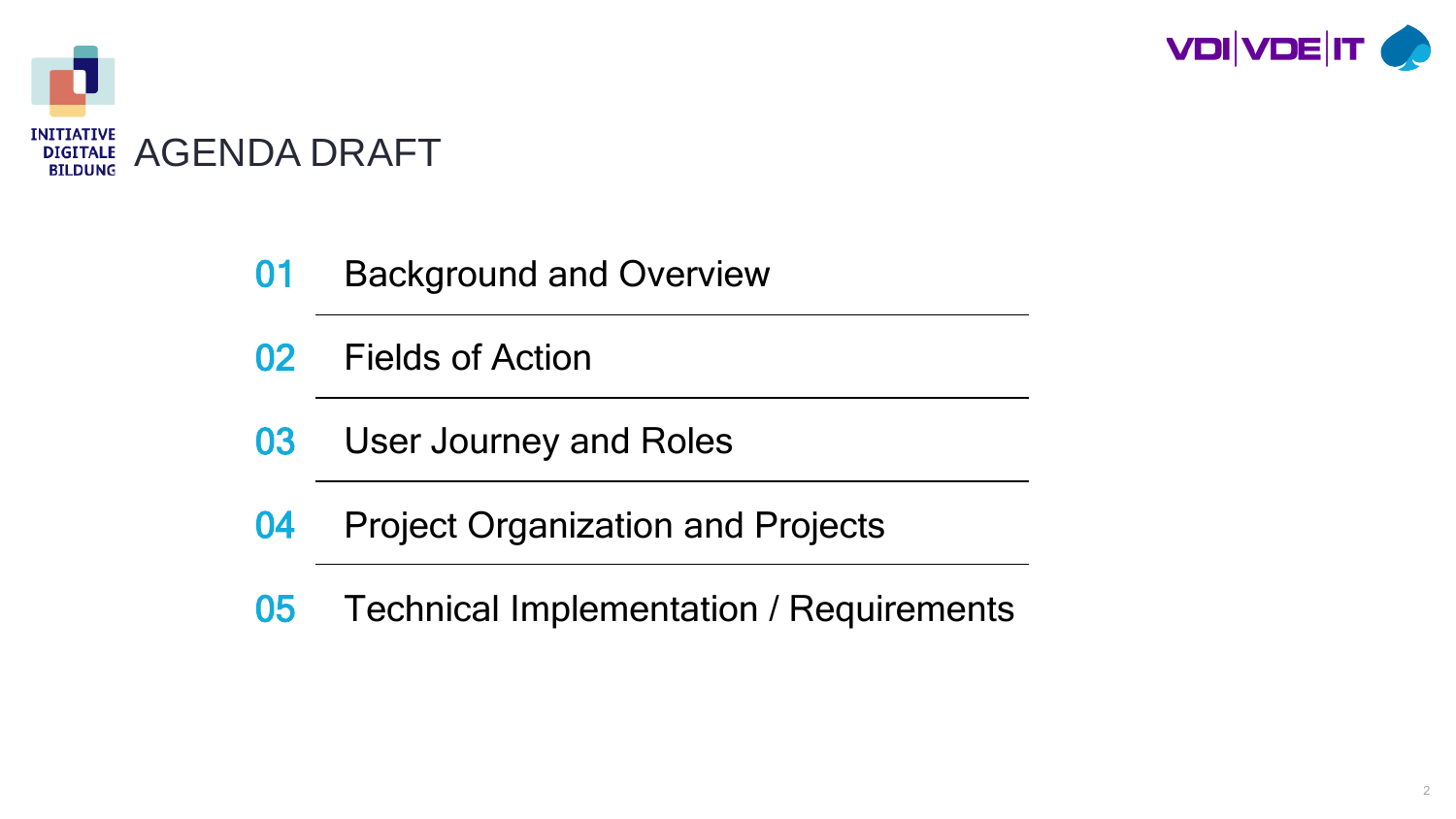



- **01** Background and Overview
- 02 Fields of Action
- **03** User Journey and Roles
- 04 Project Organization and Projects
- 05 Technical Implementation / Requirements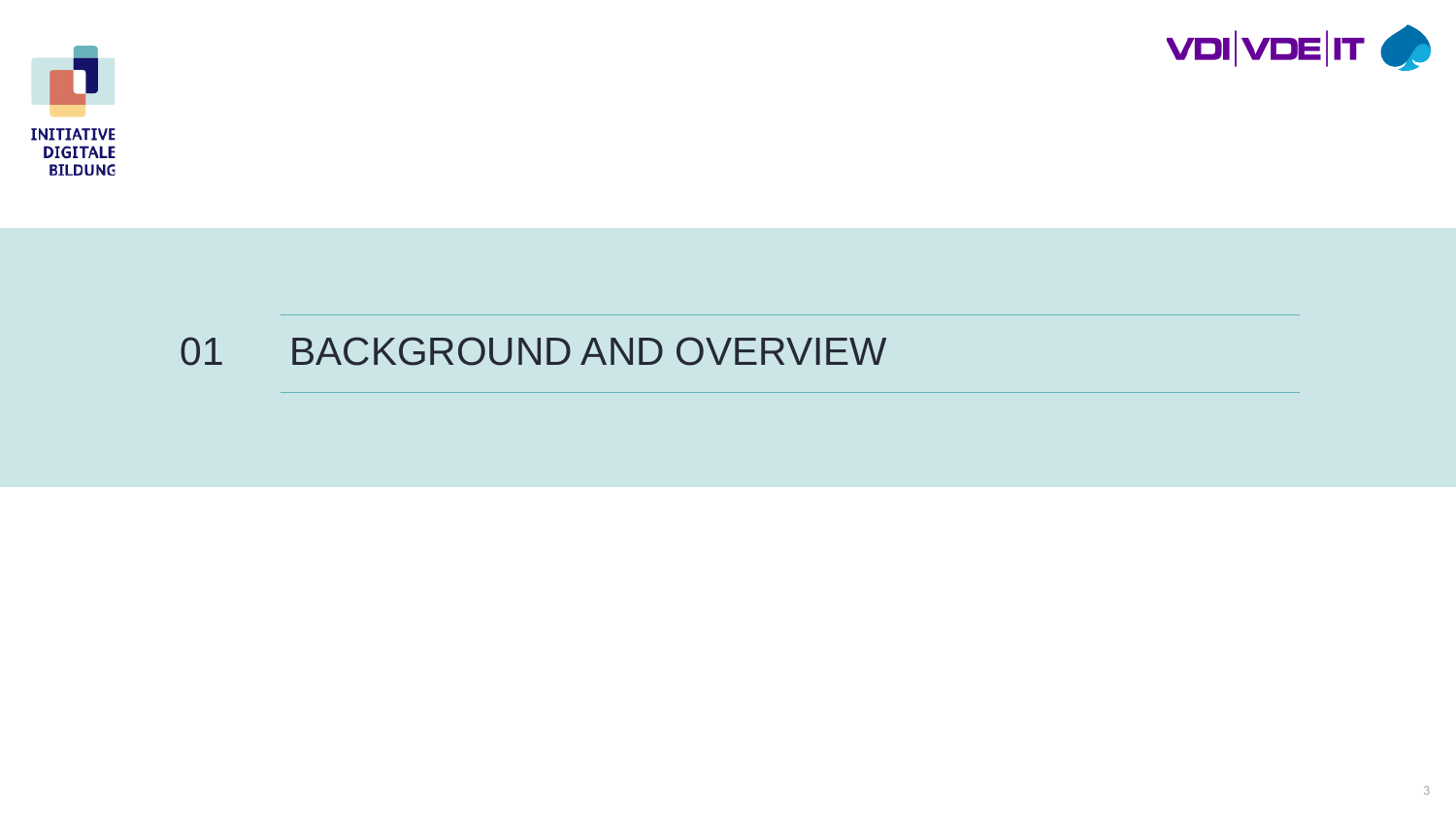



### BACKGROUND AND OVERVIEW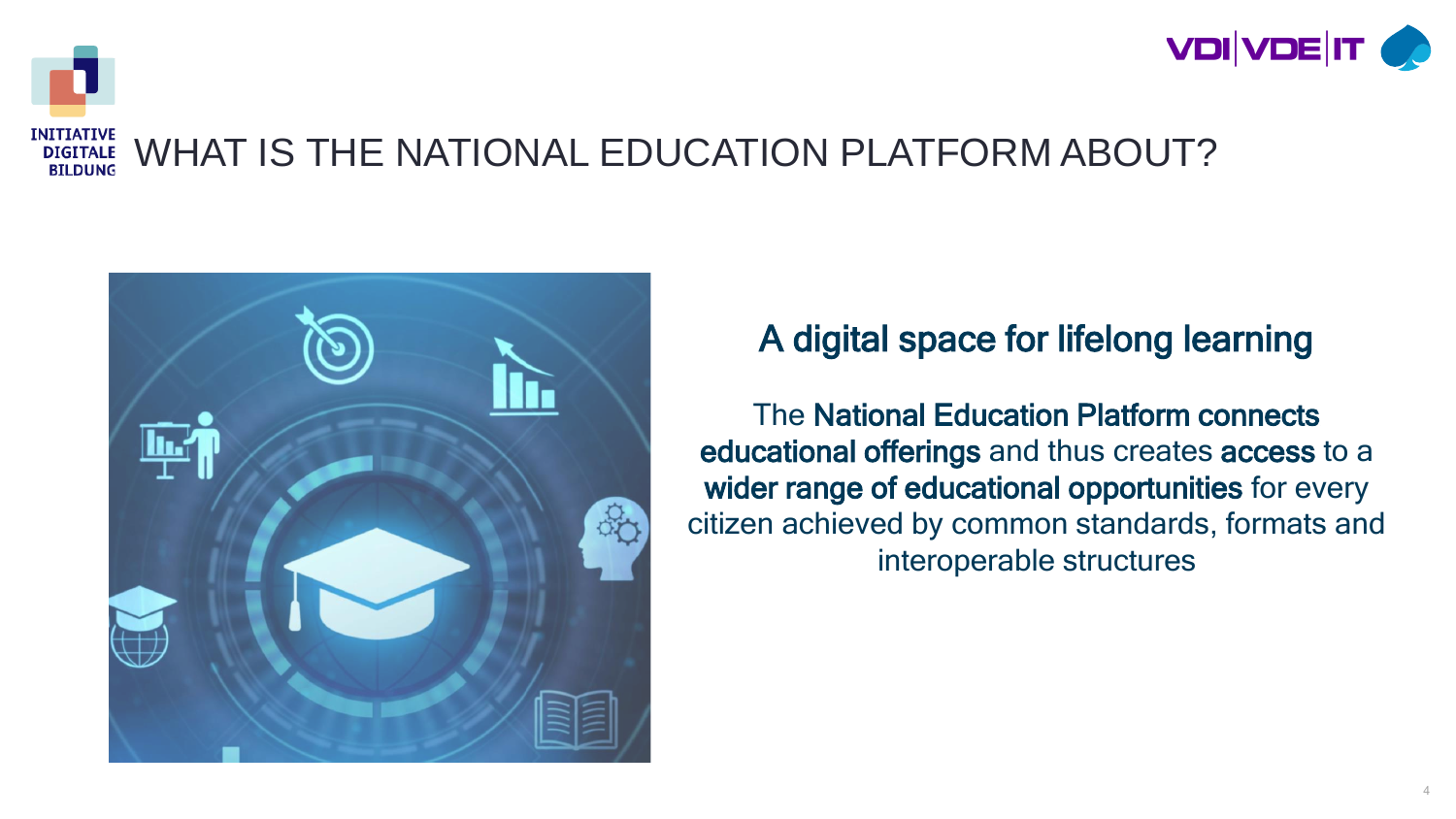

#### **INITIATIVE** WHAT IS THE NATIONAL EDUCATION PLATFORM ABOUT? **DIGITALE BILDUNG**



### A digital space for lifelong learning

The National Education Platform connects educational offerings and thus creates access to a wider range of educational opportunities for every citizen achieved by common standards, formats and interoperable structures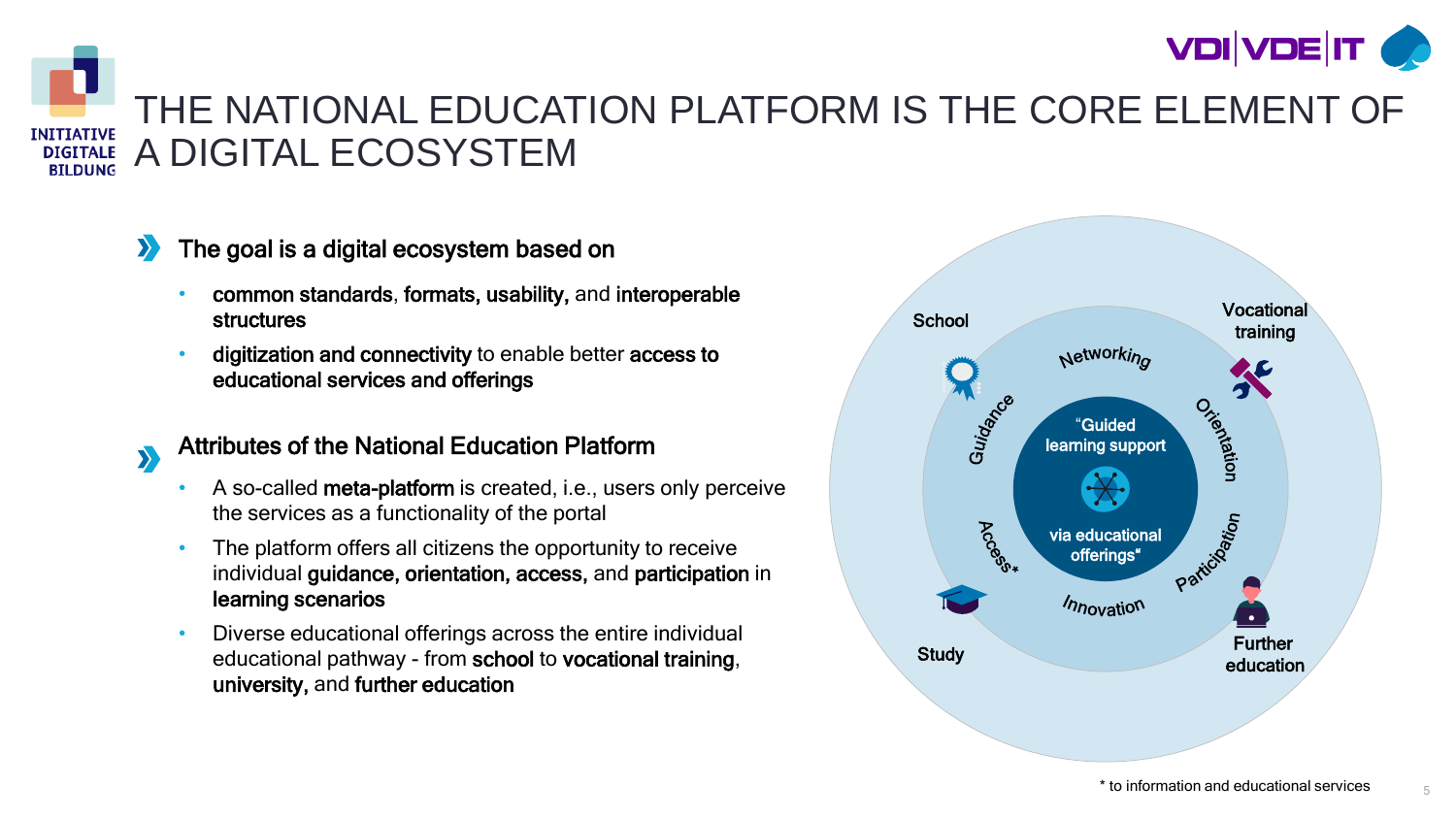



 $\sum$ 

### THE NATIONAL EDUCATION PLATFORM IS THE CORE ELEMENT OF A DIGITAL ECOSYSTEM

### The goal is a digital ecosystem based on

- common standards, formats, usability, and interoperable structures
- digitization and connectivity to enable better access to educational services and offerings

#### Attributes of the National Education Platform

- A so-called meta-platform is created, i.e., users only perceive the services as a functionality of the portal
- The platform offers all citizens the opportunity to receive individual guidance, orientation, access, and participation in learning scenarios
- Diverse educational offerings across the entire individual educational pathway - from school to vocational training, university, and further education



5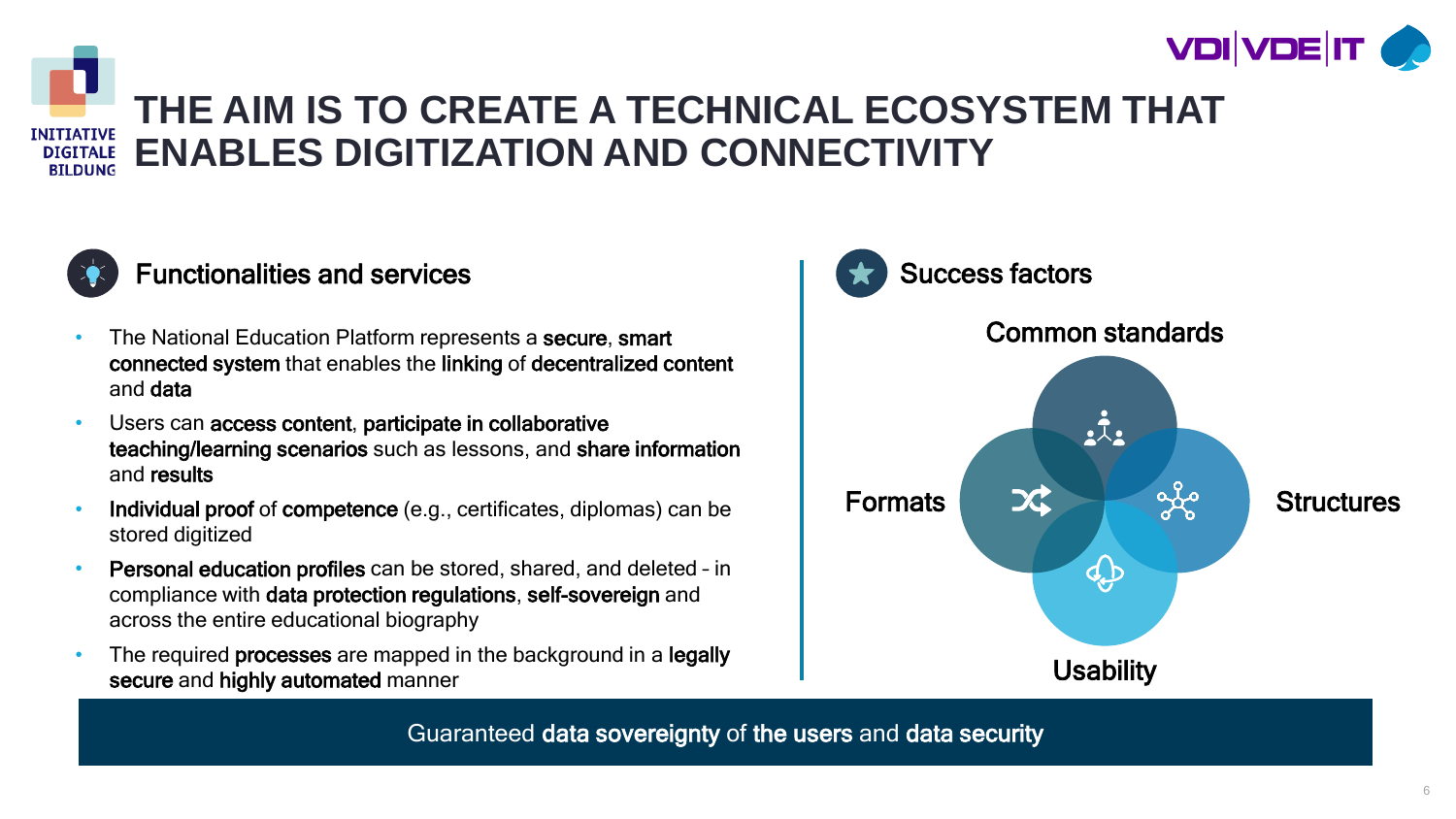



## **THE AIM IS TO CREATE A TECHNICAL ECOSYSTEM THAT ENABLES DIGITIZATION AND CONNECTIVITY**



### Functionalities and services

- The National Education Platform represents a secure, smart connected system that enables the linking of decentralized content and data
- Users can access content, participate in collaborative teaching/learning scenarios such as lessons, and share information and results
- Individual proof of competence (e.g., certificates, diplomas) can be stored digitized
- Personal education profiles can be stored, shared, and deleted in compliance with data protection regulations, self-sovereign and across the entire educational biography
- The required **processes** are mapped in the background in a **legally** secure and highly automated manner



Guaranteed data sovereignty of the users and data security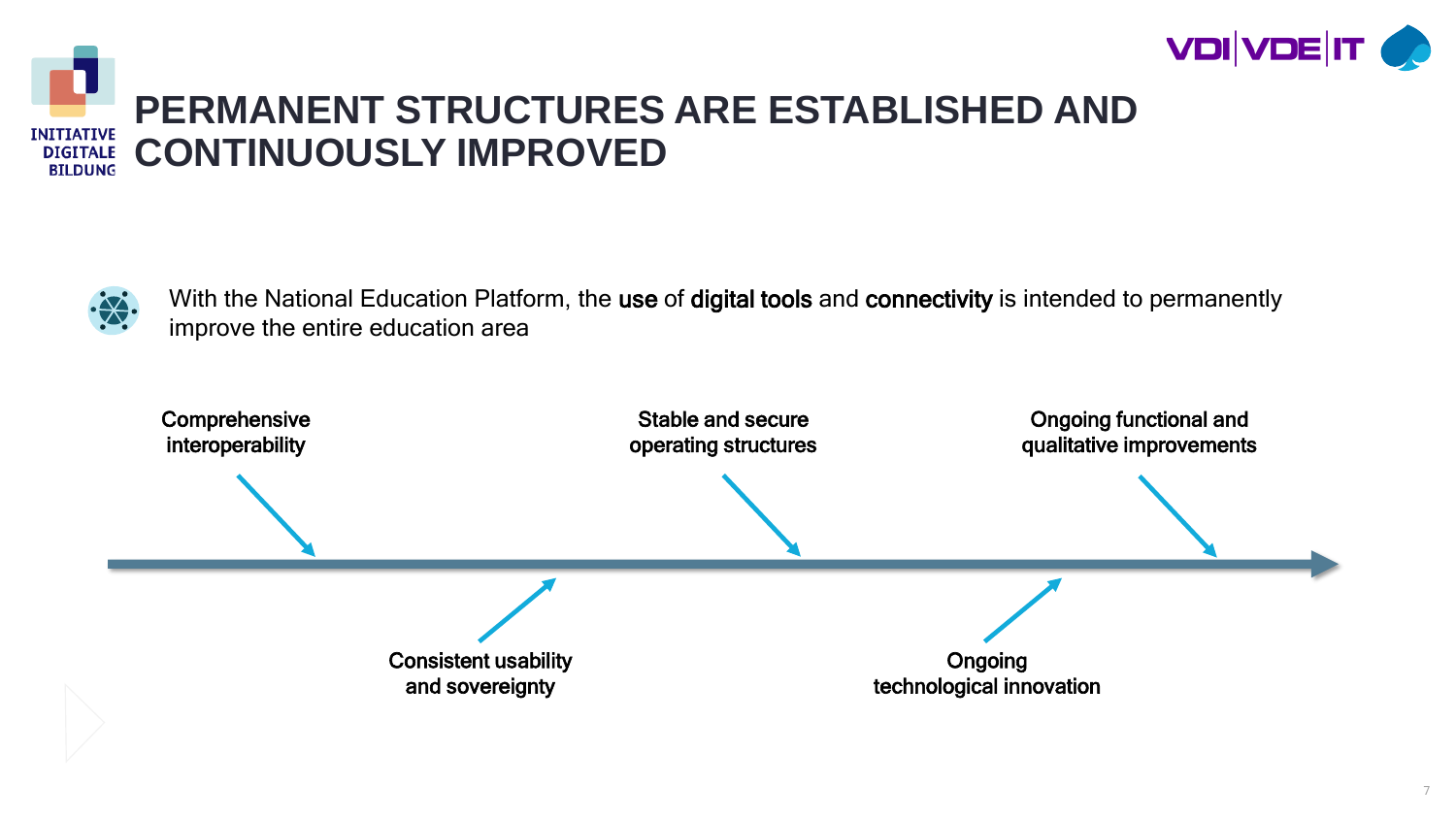



### **PERMANENT STRUCTURES ARE ESTABLISHED AND CONTINUOUSLY IMPROVED**



With the National Education Platform, the use of digital tools and connectivity is intended to permanently improve the entire education area

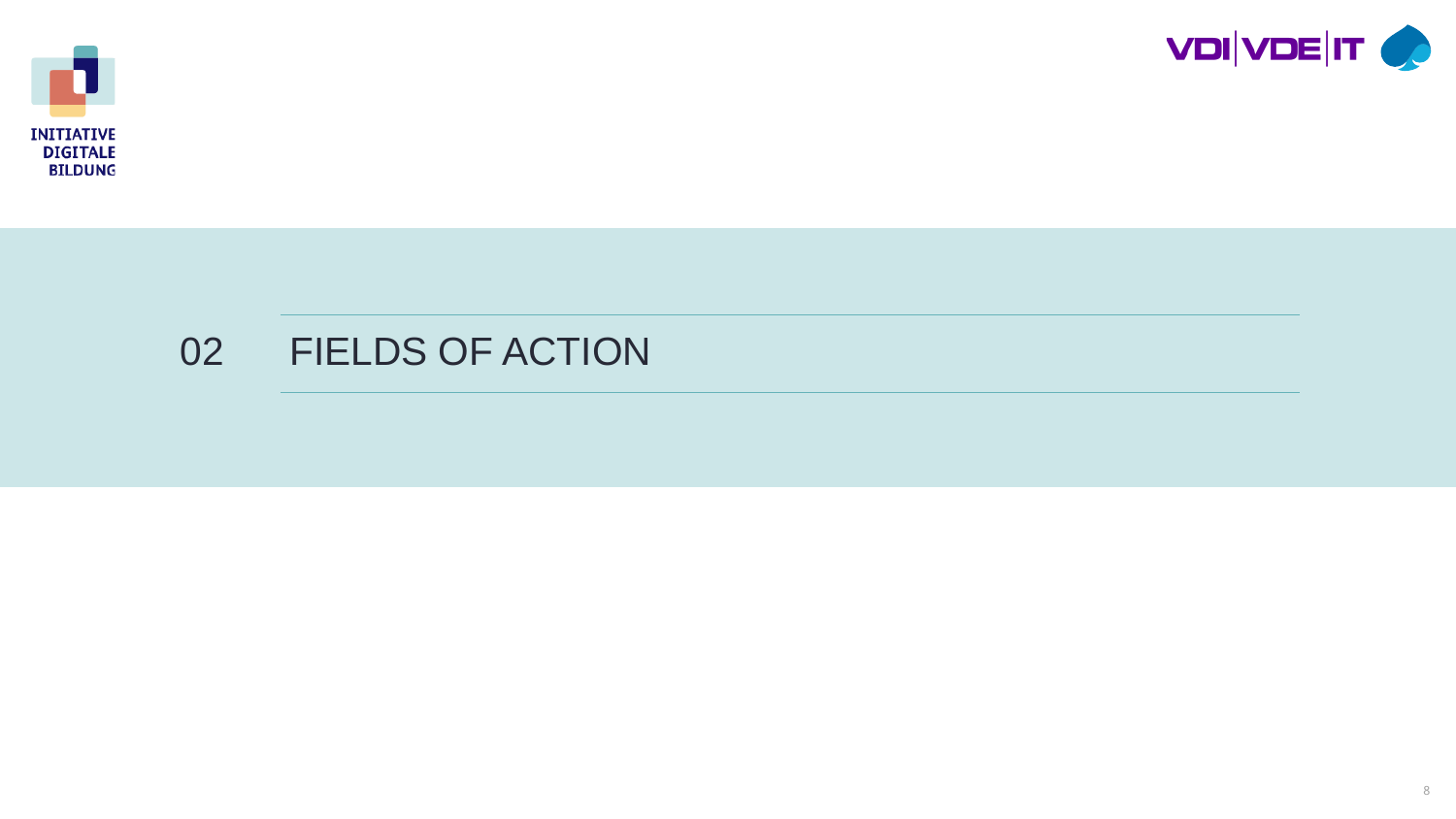



### FIELDS OF ACTION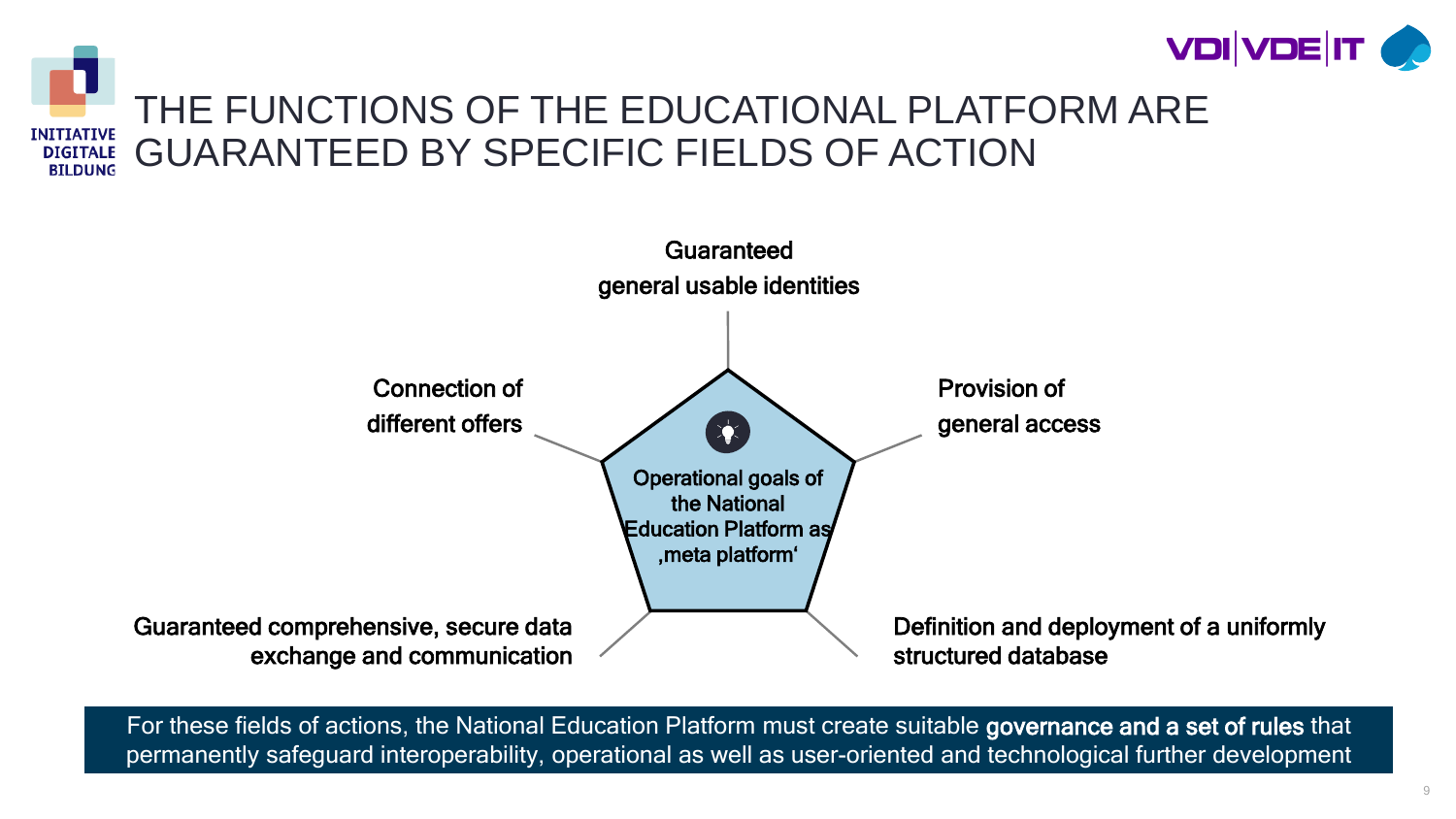



For these fields of actions, the National Education Platform must create suitable governance and a set of rules that permanently safeguard interoperability, operational as well as user-oriented and technological further development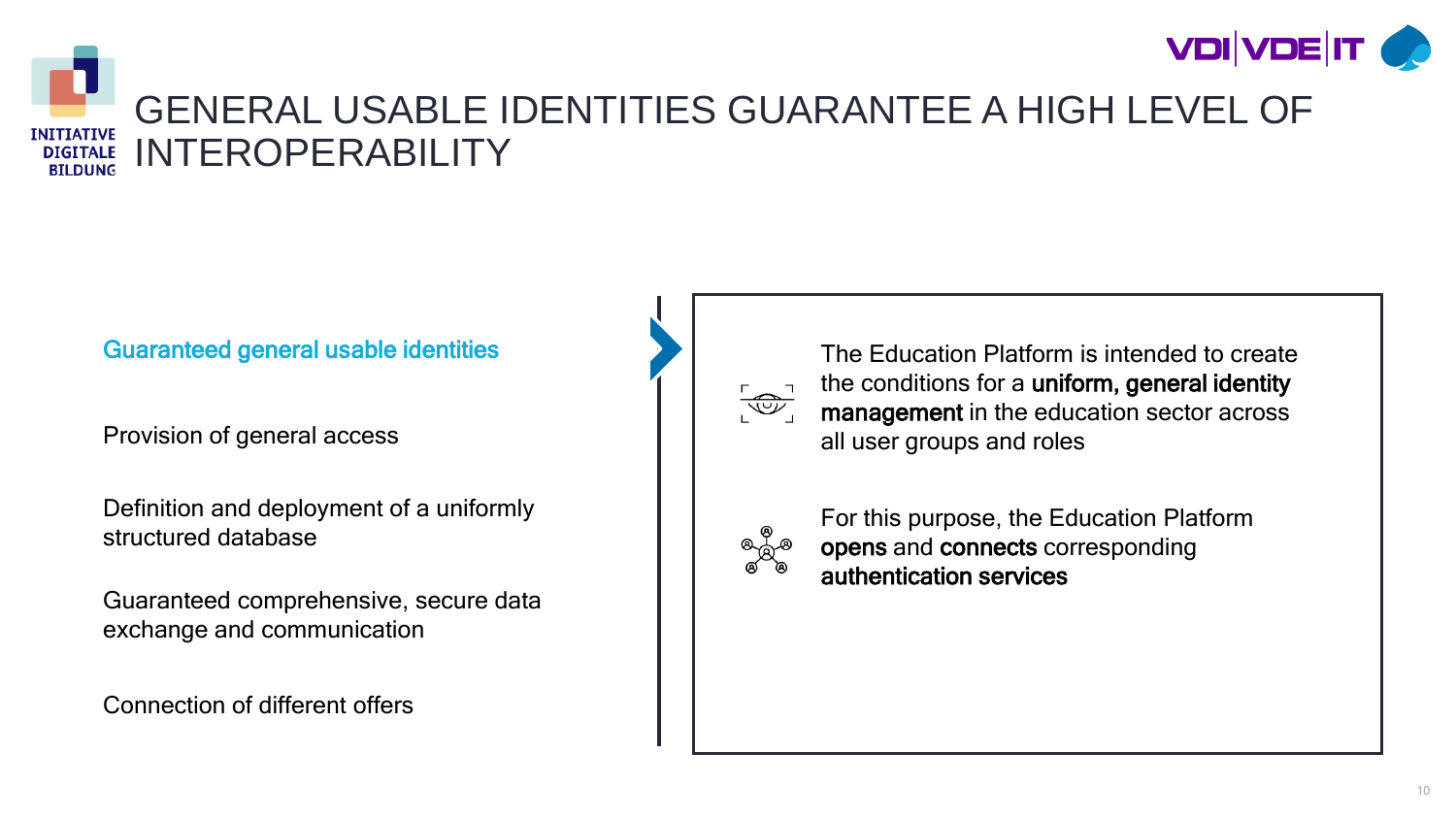



### GENERAL USABLE IDENTITIES GUARANTEE A HIGH LEVEL OF INTEROPERABILITY

#### Guaranteed general usable identities

Provision of general access

Definition and deployment of a uniformly structured database

Guaranteed comprehensive, secure data exchange and communication

Connection of different offers



The Education Platform is intended to create the conditions for a uniform, general identity management in the education sector across all user groups and roles



For this purpose, the Education Platform opens and connects corresponding authentication services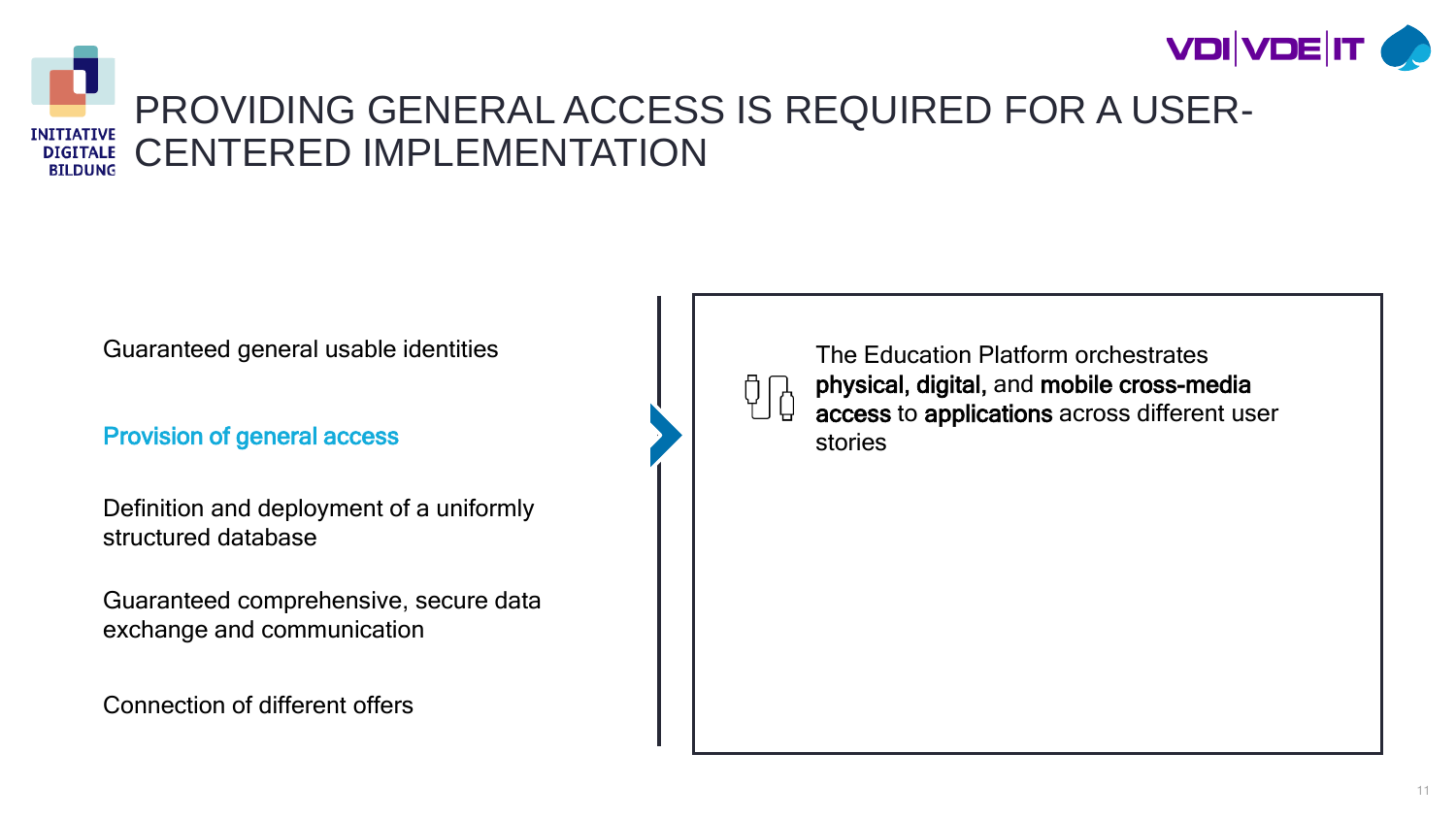



#### PROVIDING GENERAL ACCESS IS REQUIRED FOR A USER-CENTERED IMPLEMENTATION **BILDUNG**

Guaranteed general usable identities

#### Provision of general access

Definition and deployment of a uniformly structured database

Guaranteed comprehensive, secure data exchange and communication

Connection of different offers



The Education Platform orchestrates physical, digital, and mobile cross-media access to applications across different user stories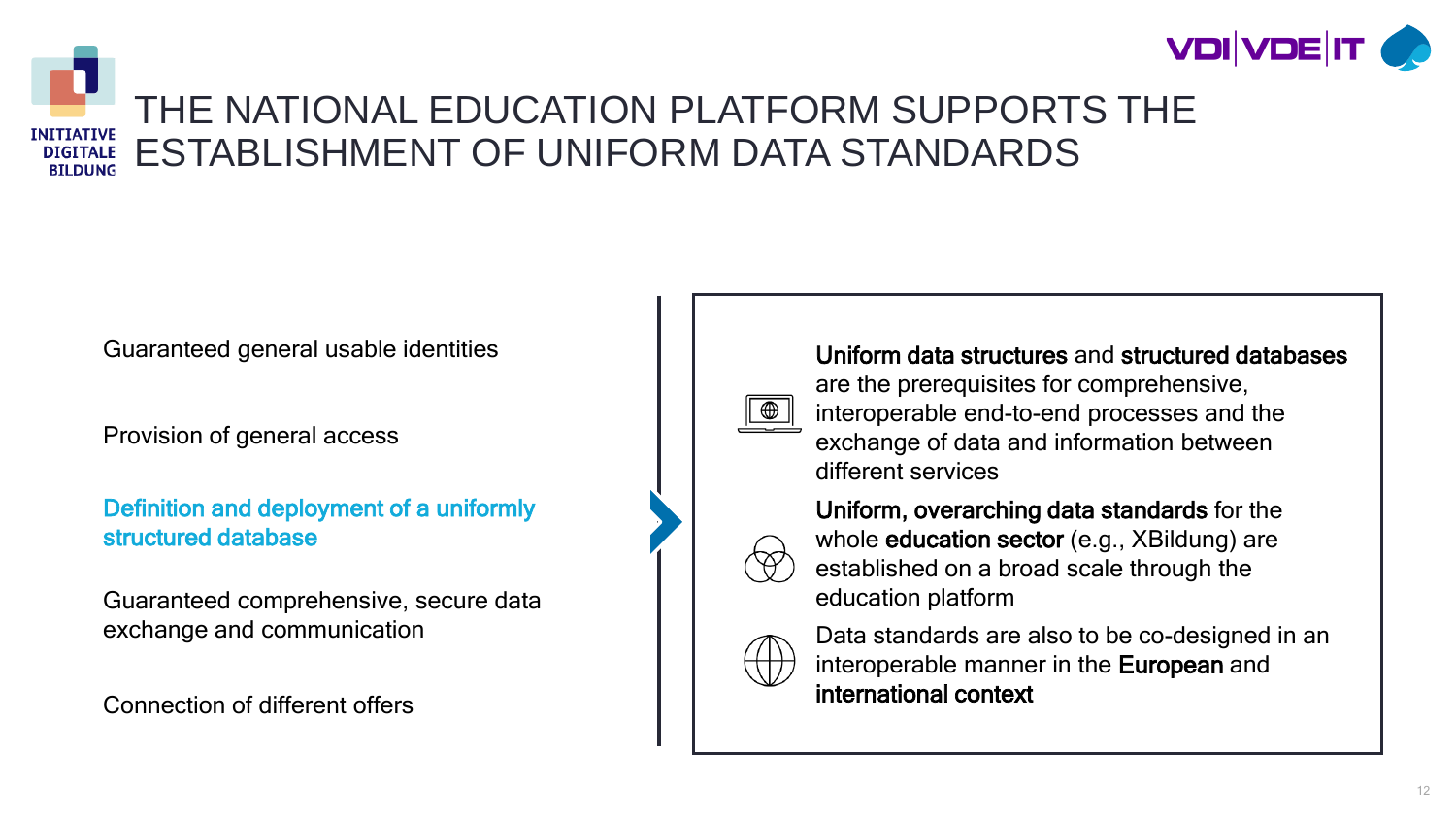



### THE NATIONAL EDUCATION PLATFORM SUPPORTS THE ESTABLISHMENT OF UNIFORM DATA STANDARDS

Guaranteed general usable identities

Provision of general access

Definition and deployment of a uniformly structured database

Guaranteed comprehensive, secure data exchange and communication

Connection of different offers



interoperable manner in the European and international context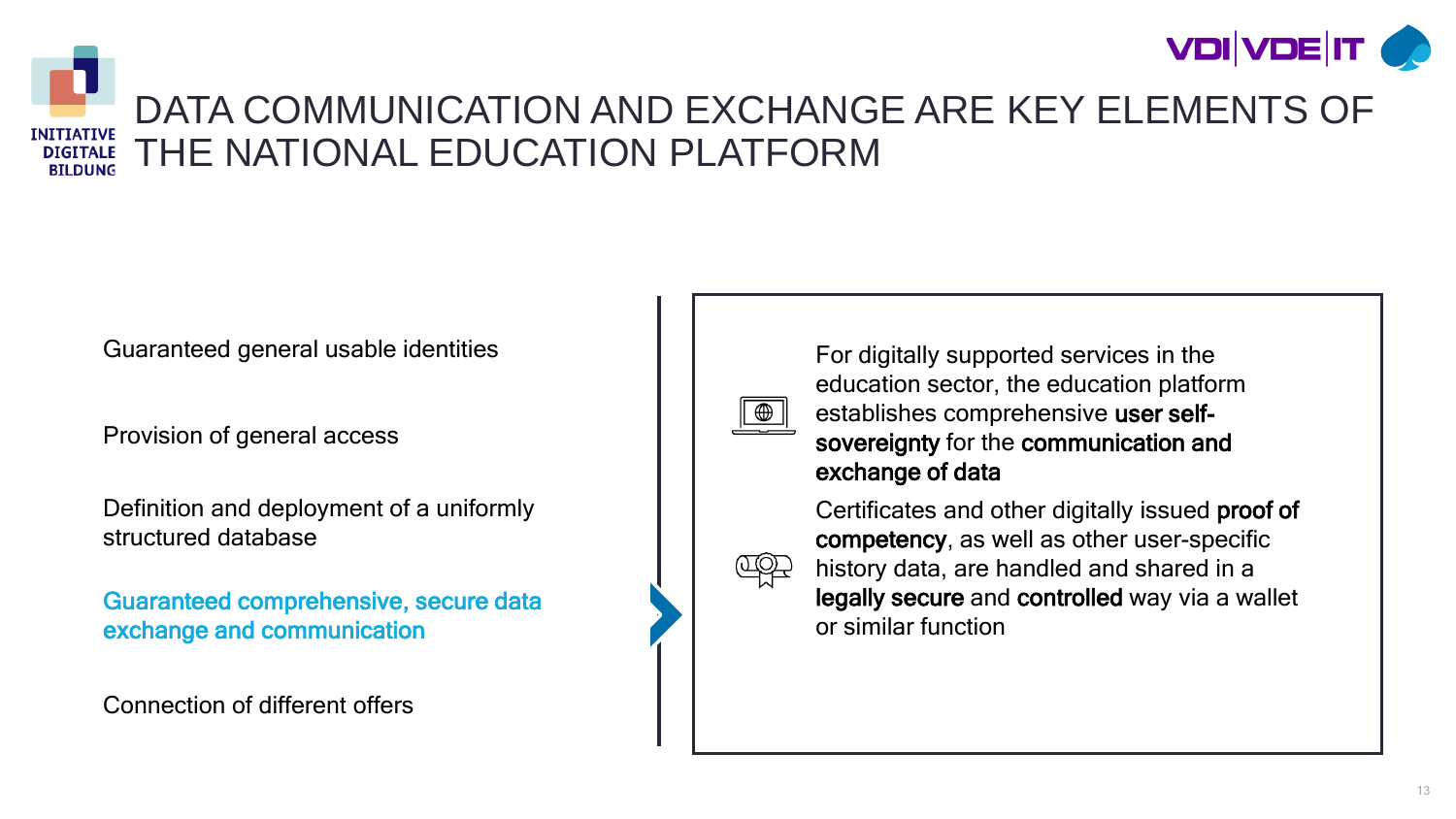



### DATA COMMUNICATION AND EXCHANGE ARE KEY ELEMENTS OF THE NATIONAL EDUCATION PLATFORM

Guaranteed general usable identities

Provision of general access

Definition and deployment of a uniformly structured database

Guaranteed comprehensive, secure data exchange and communication

Connection of different offers

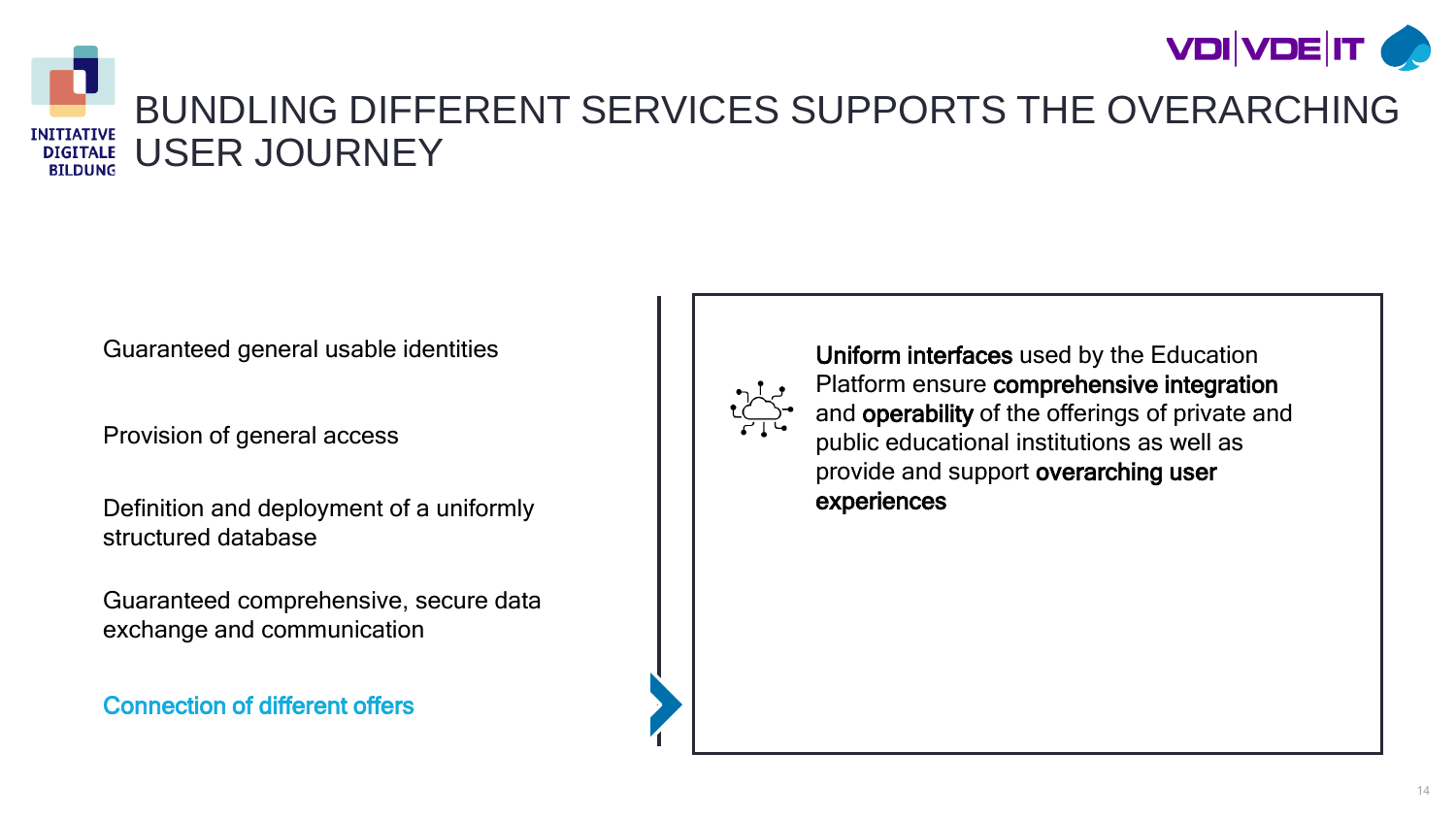



### BUNDLING DIFFERENT SERVICES SUPPORTS THE OVERARCHING USER JOURNEY

Guaranteed general usable identities

Provision of general access

Definition and deployment of a uniformly structured database

Guaranteed comprehensive, secure data exchange and communication

Connection of different offers



Uniform interfaces used by the Education Platform ensure comprehensive integration and operability of the offerings of private and public educational institutions as well as provide and support overarching user experiences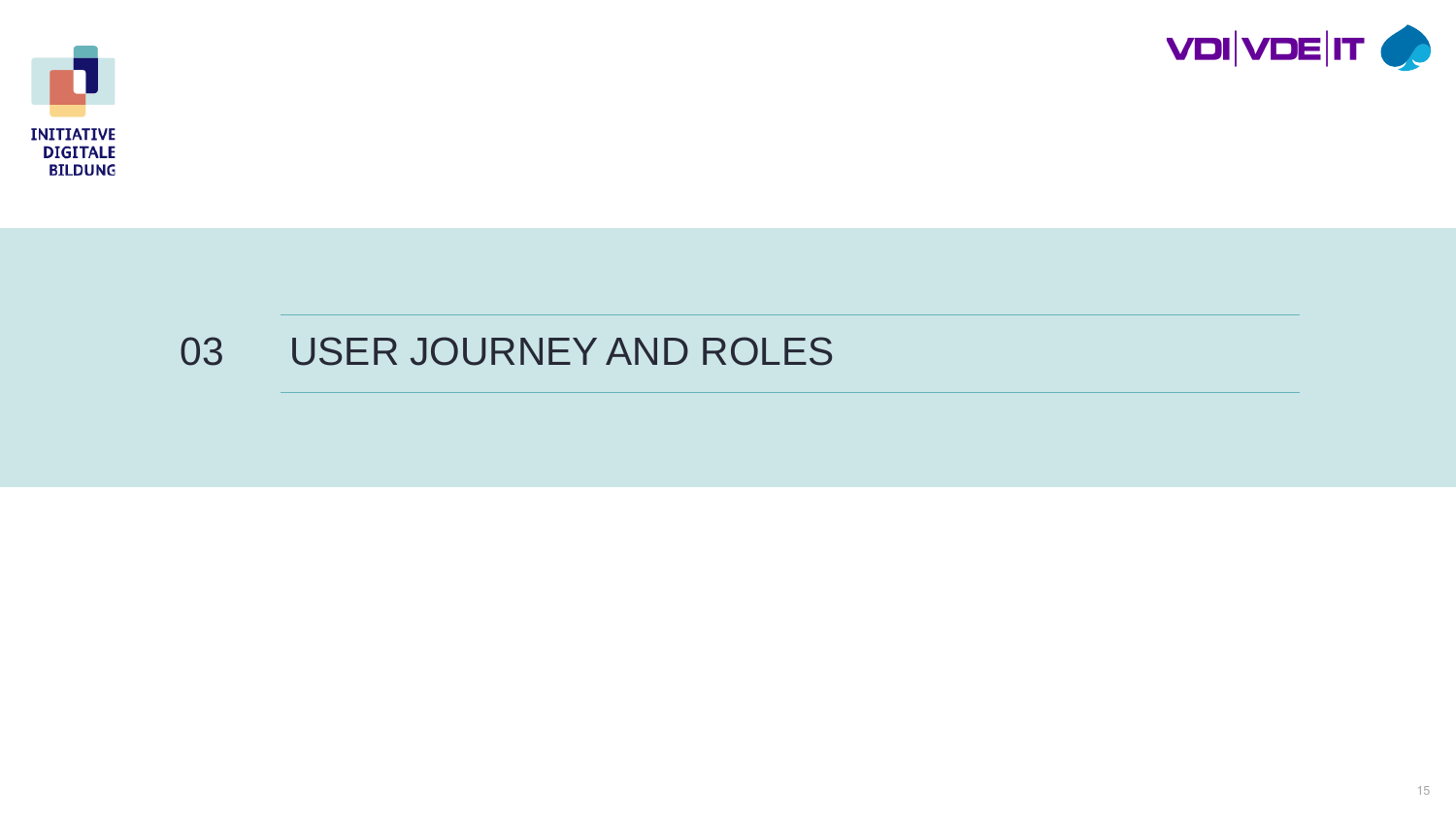



### USER JOURNEY AND ROLES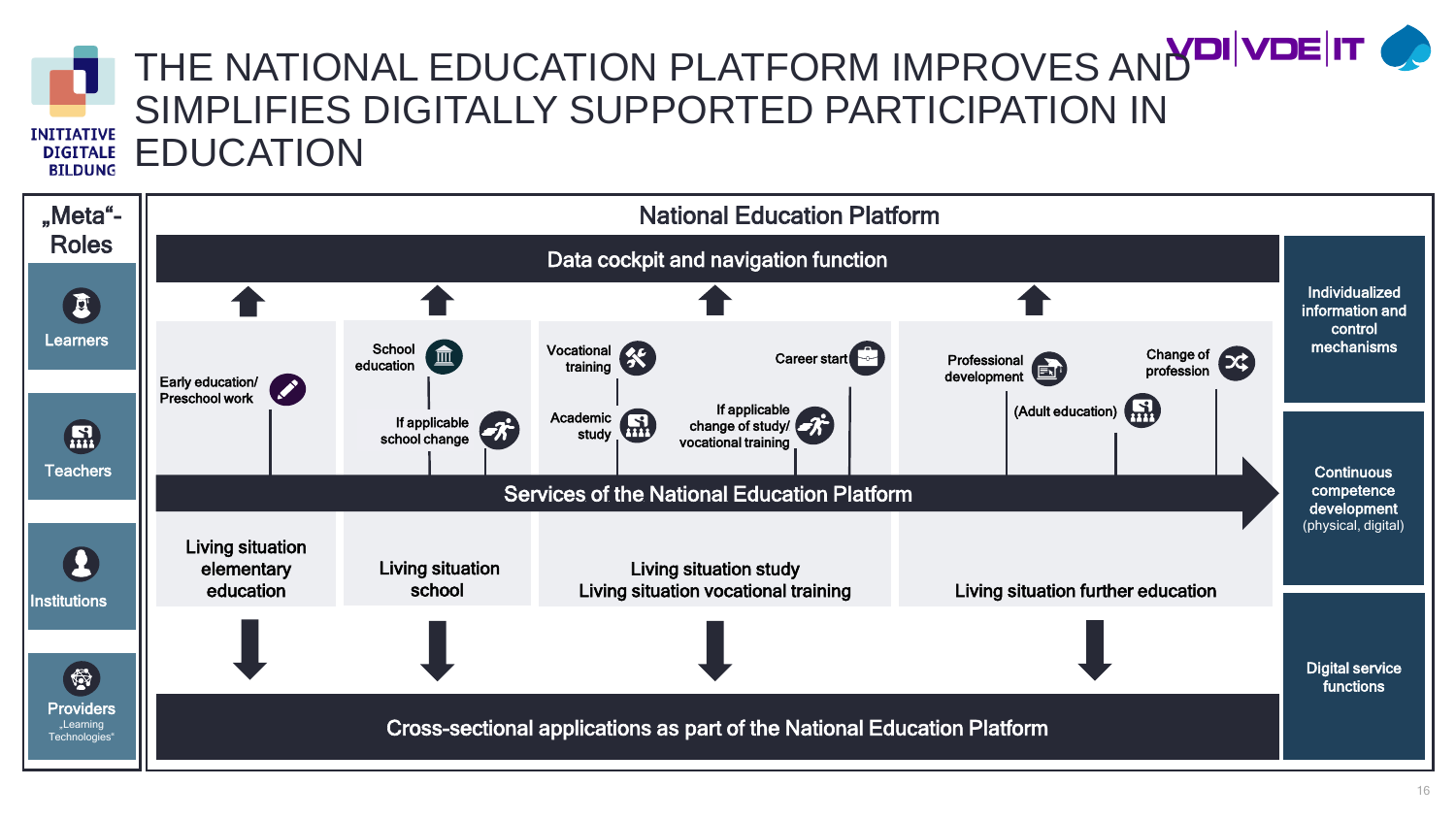### **INITIATIVE DIGITALE BILDUNG**

# THE NATIONAL EDUCATION PLATFORM IMPROVES AND VOLT OF SIMPLIFIES DIGITALLY SUPPORTED PARTICIPATION IN EDUCATION

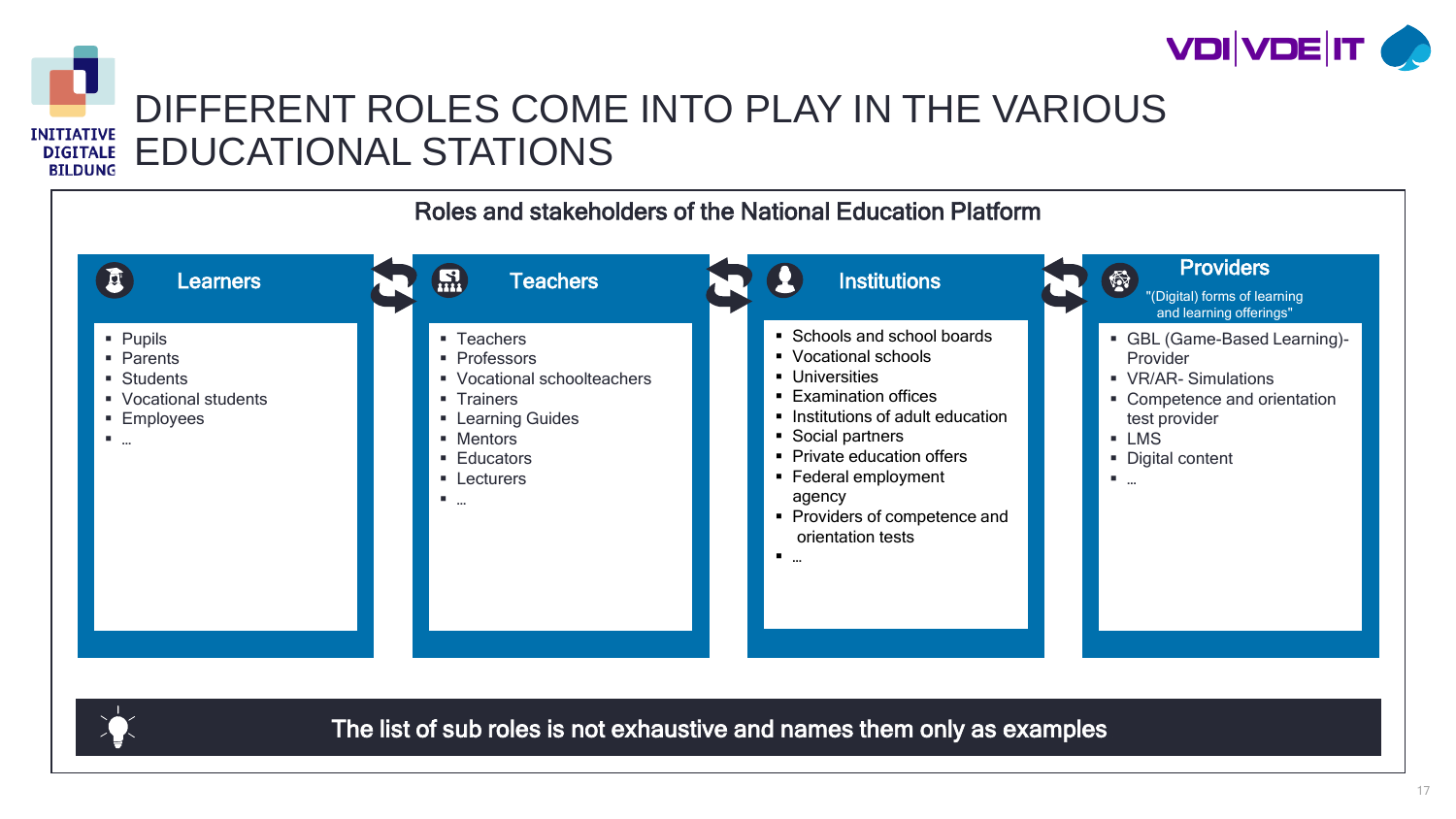



### DIFFERENT ROLES COME INTO PLAY IN THE VARIOUS EDUCATIONAL STATIONS





The list of sub roles is not exhaustive and names them only as examples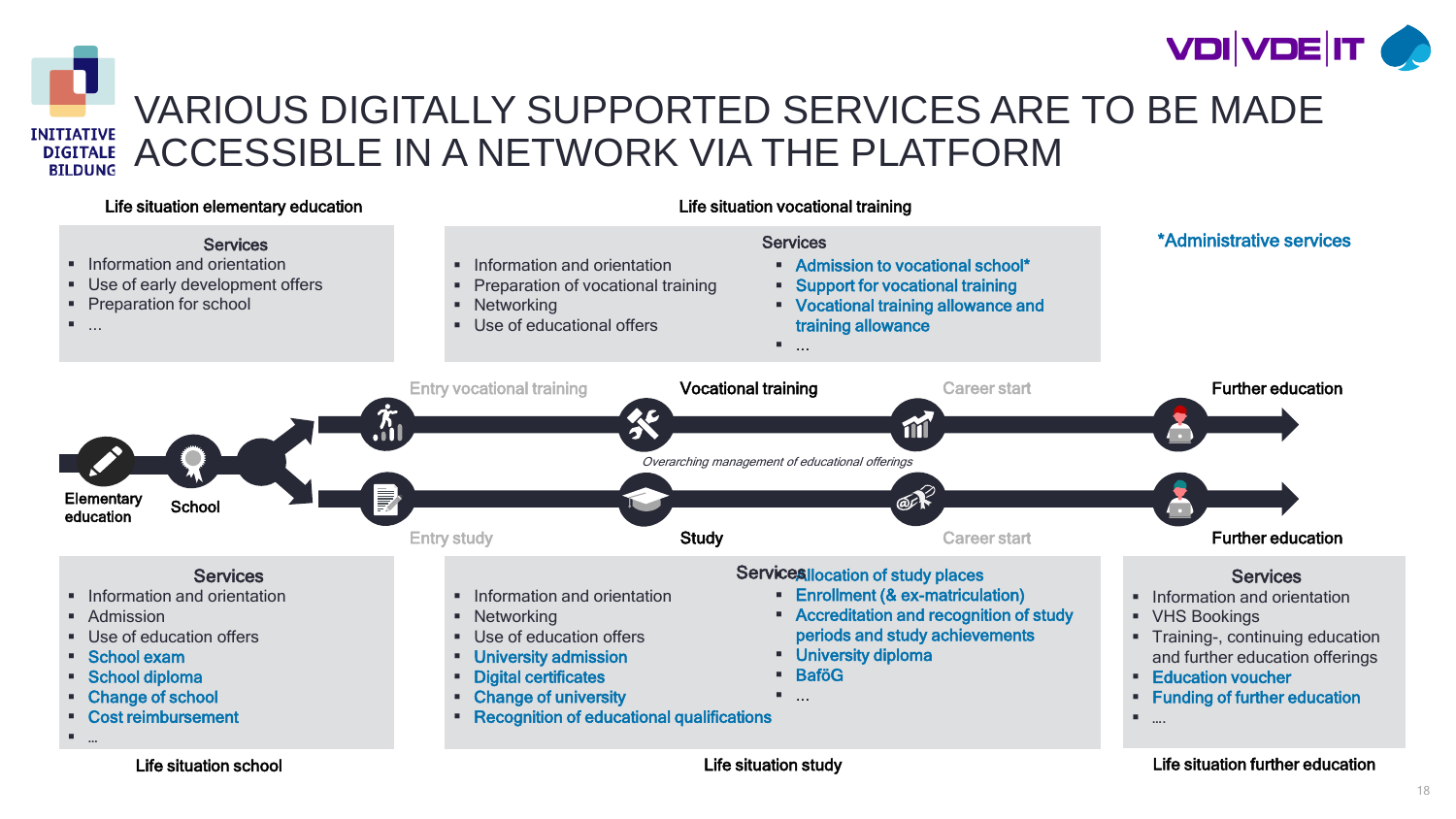



### VARIOUS DIGITALLY SUPPORTED SERVICES ARE TO BE MADE ACCESSIBLE IN A NETWORK VIA THE PLATFORM

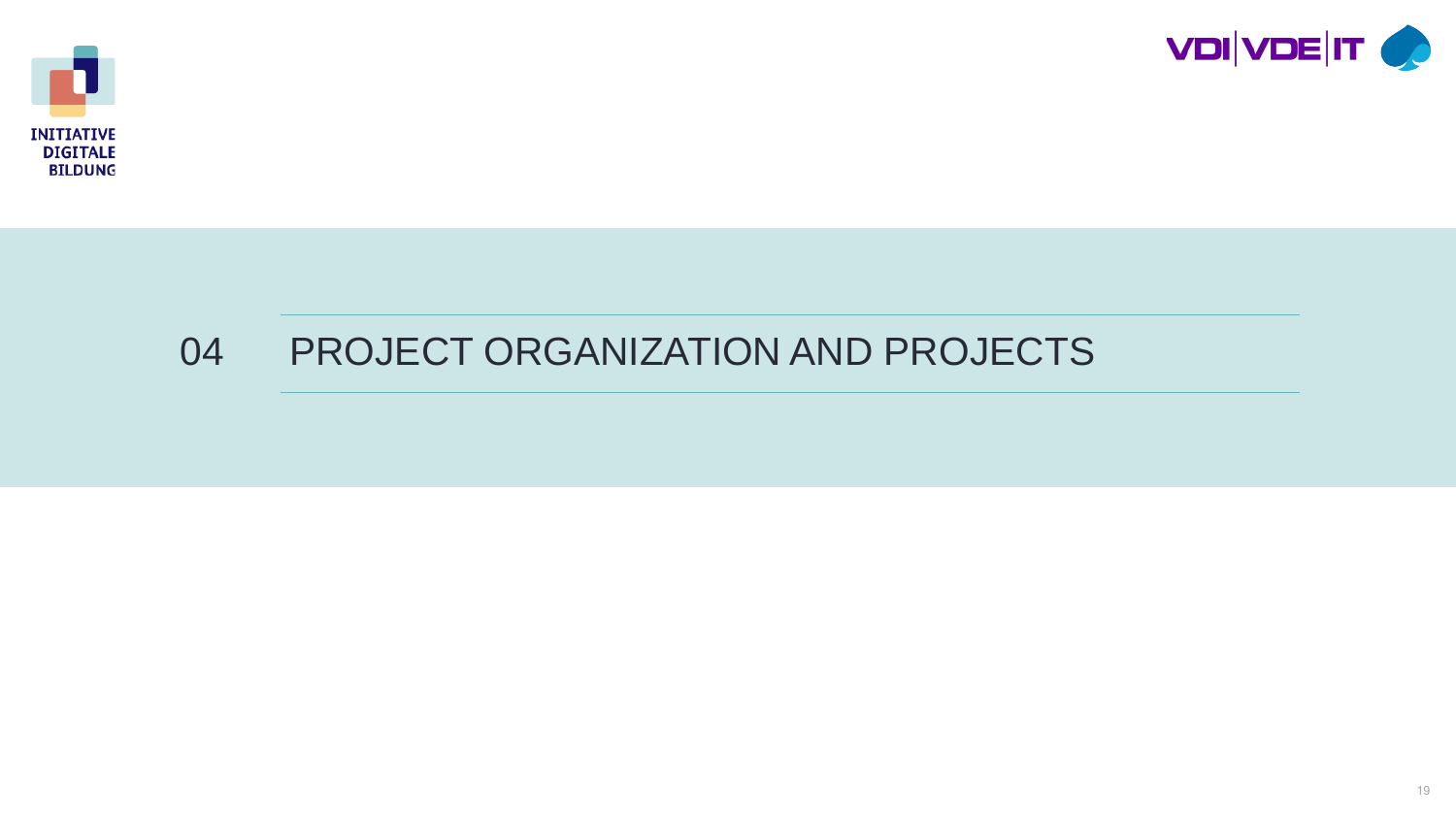



## PROJECT ORGANIZATION AND PROJECTS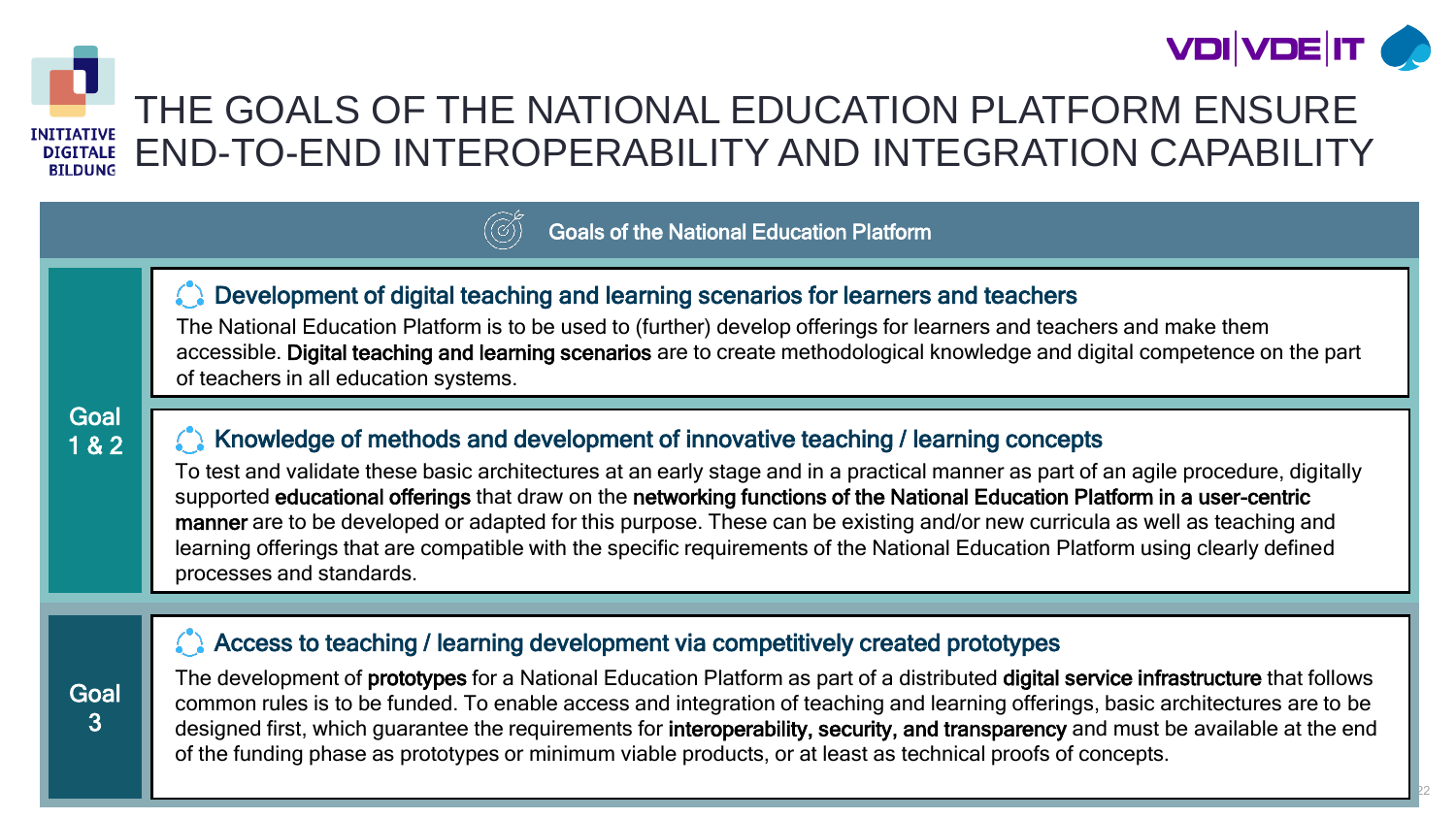

22



### THE GOALS OF THE NATIONAL EDUCATION PLATFORM ENSURE END-TO-END INTEROPERABILITY AND INTEGRATION CAPABILITY

#### Goals of the National Education Platform

#### **C** Development of digital teaching and learning scenarios for learners and teachers

The National Education Platform is to be used to (further) develop offerings for learners and teachers and make them accessible. Digital teaching and learning scenarios are to create methodological knowledge and digital competence on the part of teachers in all education systems.

#### **Goal** 1 & 2

**Goal** 3

#### Knowledge of methods and development of innovative teaching / learning concepts

To test and validate these basic architectures at an early stage and in a practical manner as part of an agile procedure, digitally supported educational offerings that draw on the networking functions of the National Education Platform in a user-centric manner are to be developed or adapted for this purpose. These can be existing and/or new curricula as well as teaching and learning offerings that are compatible with the specific requirements of the National Education Platform using clearly defined processes and standards.

#### Access to teaching / learning development via competitively created prototypes

The development of prototypes for a National Education Platform as part of a distributed digital service infrastructure that follows common rules is to be funded. To enable access and integration of teaching and learning offerings, basic architectures are to be designed first, which guarantee the requirements for interoperability, security, and transparency and must be available at the end of the funding phase as prototypes or minimum viable products, or at least as technical proofs of concepts.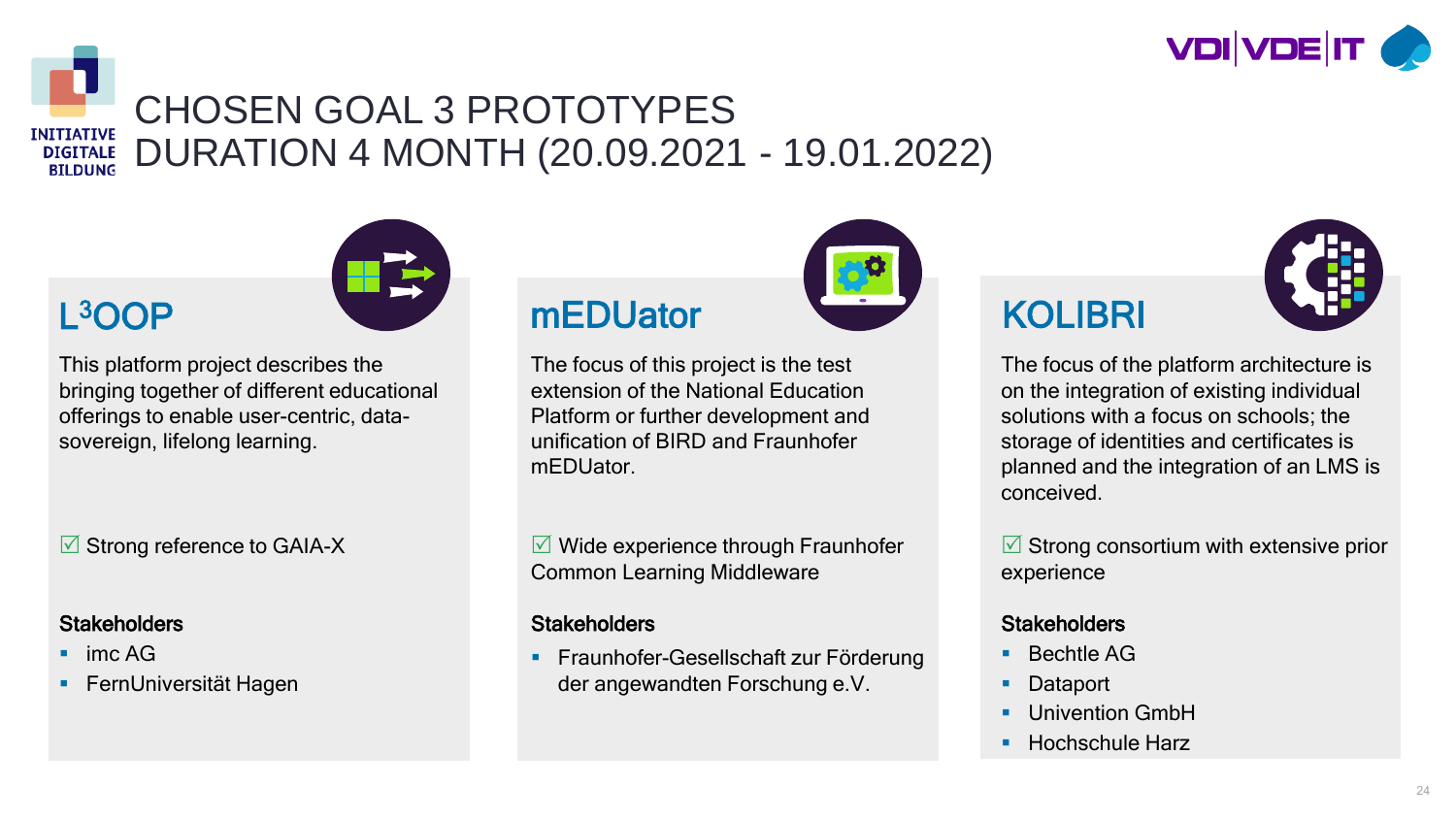

#### CHOSEN GOAL 3 PROTOTYPES **INITIATIVE** DURATION 4 MONTH (20.09.2021 - 19.01.2022) **DIGITALE BILDUNG**



### L3OOP

This platform project describes the bringing together of different educational offerings to enable user-centric, datasovereign, lifelong learning.

**■ Strong reference to GAIA-X** 

#### **Stakeholders**

- $\blacksquare$  imc AG
- FernUniversität Hagen

### mEDUator WEDUATOR KOLIBRI

The focus of this project is the test extension of the National Education Platform or further development and unification of BIRD and Fraunhofer mEDUator.

 $\sqrt{M}$  Wide experience through Fraunhofer Common Learning Middleware

#### **Stakeholders**

 Fraunhofer-Gesellschaft zur Förderung der angewandten Forschung e.V.





The focus of the platform architecture is on the integration of existing individual solutions with a focus on schools; the storage of identities and certificates is planned and the integration of an LMS is conceived.

 $\triangledown$  Strong consortium with extensive prior experience

#### **Stakeholders**

- Bechtle AG
- Dataport
- Univention GmbH
- Hochschule Harz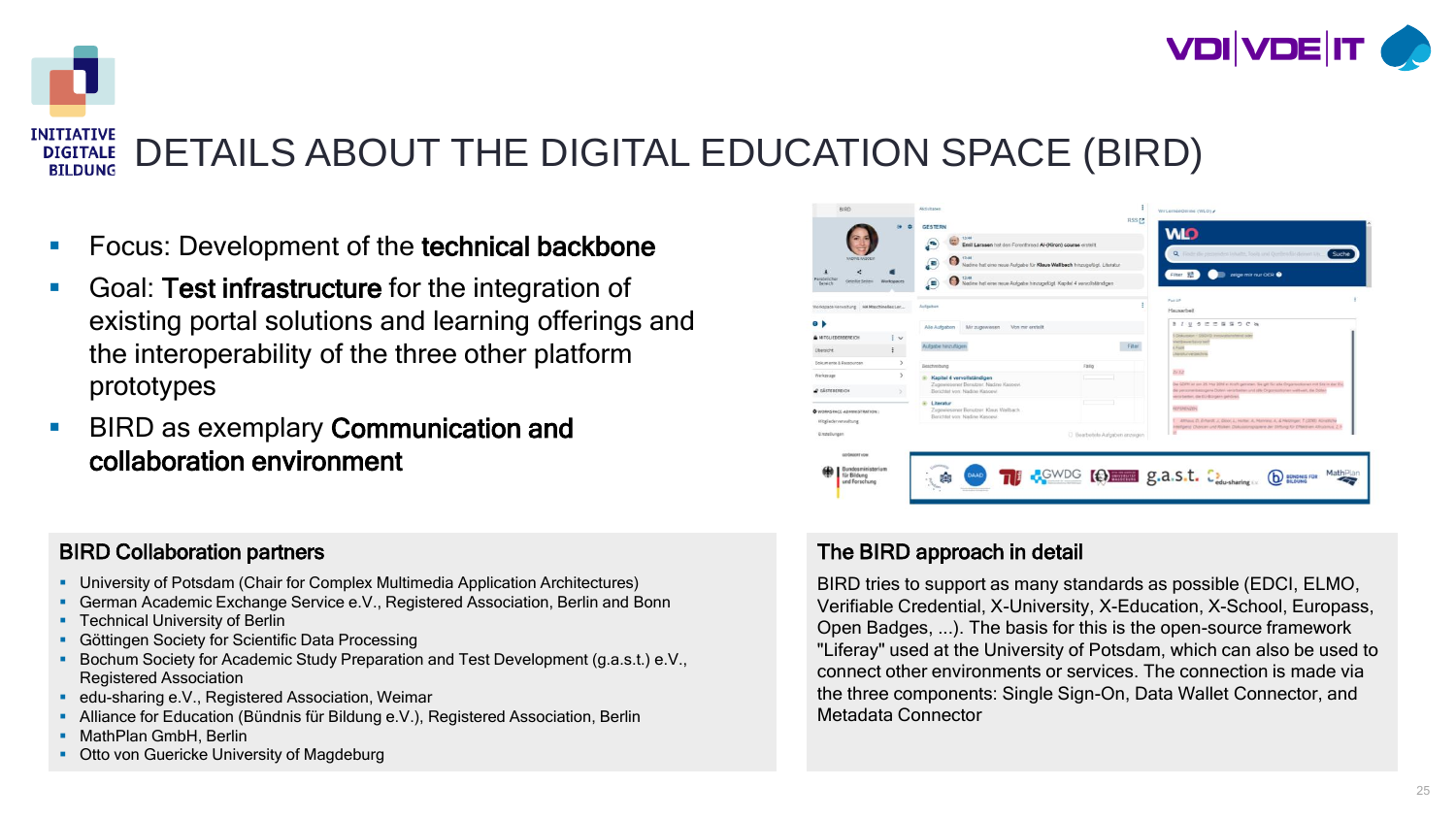

#### **INITIATIVE** DETAILS ABOUT THE DIGITAL EDUCATION SPACE (BIRD) **DIGITALE BILDUNG**

- **FICUME:** Pevelopment of the technical backbone
- **Goal: Test infrastructure** for the integration of existing portal solutions and learning offerings and the interoperability of the three other platform prototypes
- **BIRD as exemplary Communication and** collaboration environment

#### BIRD Collaboration partners

- University of Potsdam (Chair for Complex Multimedia Application Architectures)
- German Academic Exchange Service e.V., Registered Association, Berlin and Bonn
- **Technical University of Berlin**
- **Göttingen Society for Scientific Data Processing**
- Bochum Society for Academic Study Preparation and Test Development (g.a.s.t.) e.V., Registered Association
- **Edu-sharing e.V., Registered Association, Weimar**
- Alliance for Education (Bündnis für Bildung e.V.), Registered Association, Berlin
- **MathPlan GmbH, Berlin**
- **Otto von Guericke University of Magdeburg**



#### The BIRD approach in detail

BIRD tries to support as many standards as possible (EDCI, ELMO, Verifiable Credential, X-University, X-Education, X-School, Europass, Open Badges, ...). The basis for this is the open-source framework "Liferay" used at the University of Potsdam, which can also be used to connect other environments or services. The connection is made via the three components: Single Sign-On, Data Wallet Connector, and Metadata Connector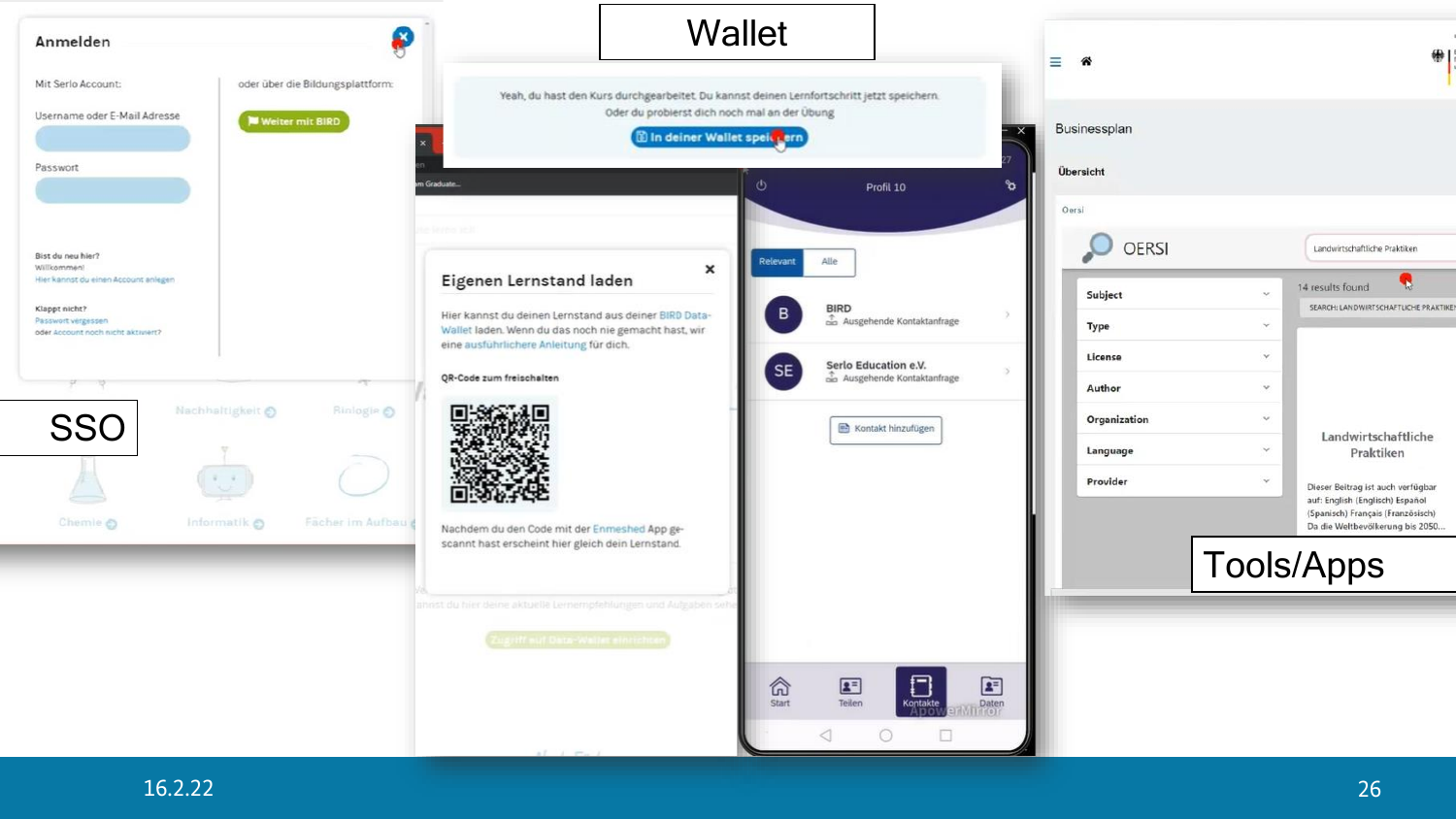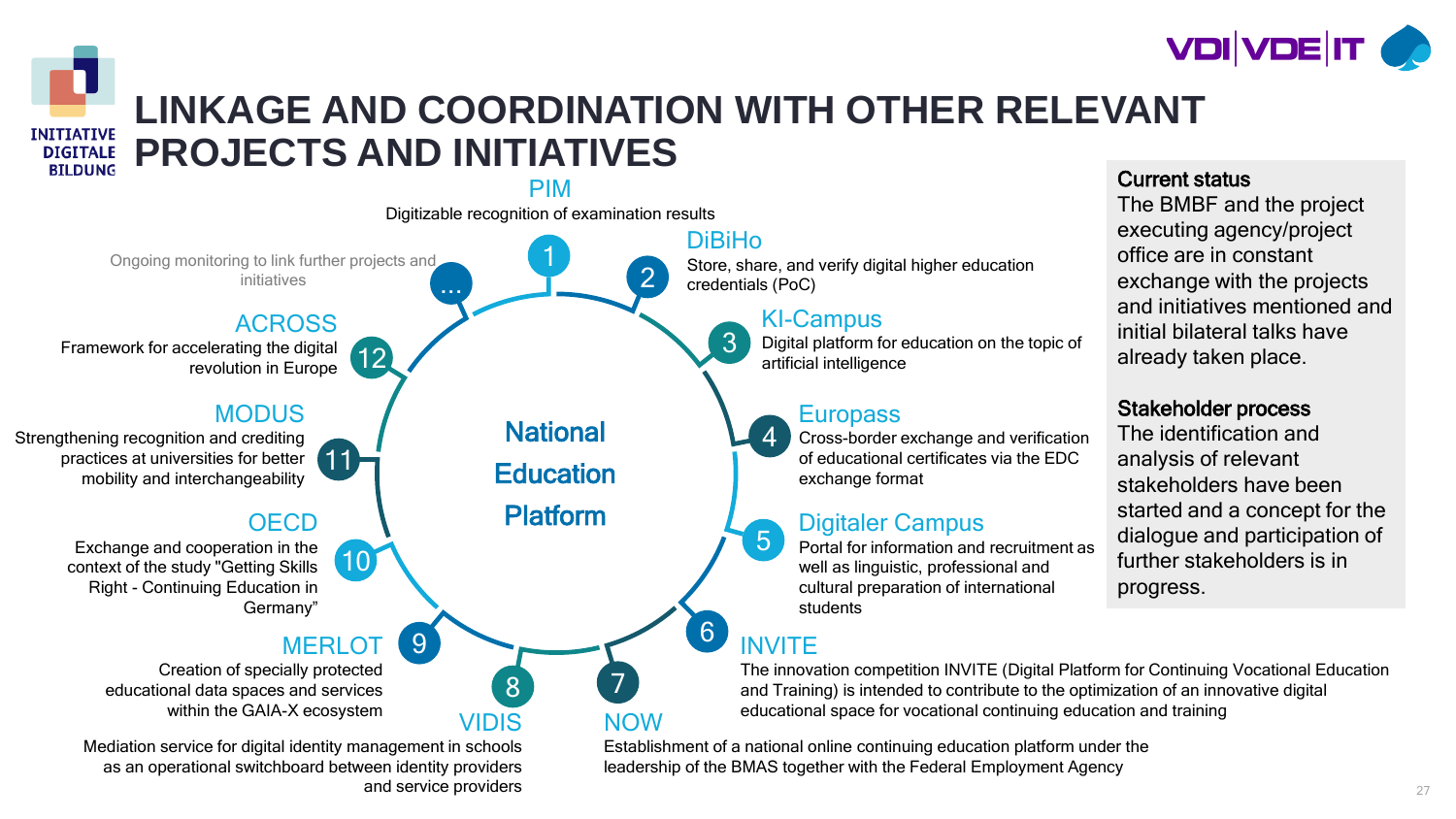



### **LINKAGE AND COORDINATION WITH OTHER RELEVANT PROJECTS AND INITIATIVES**



and service providers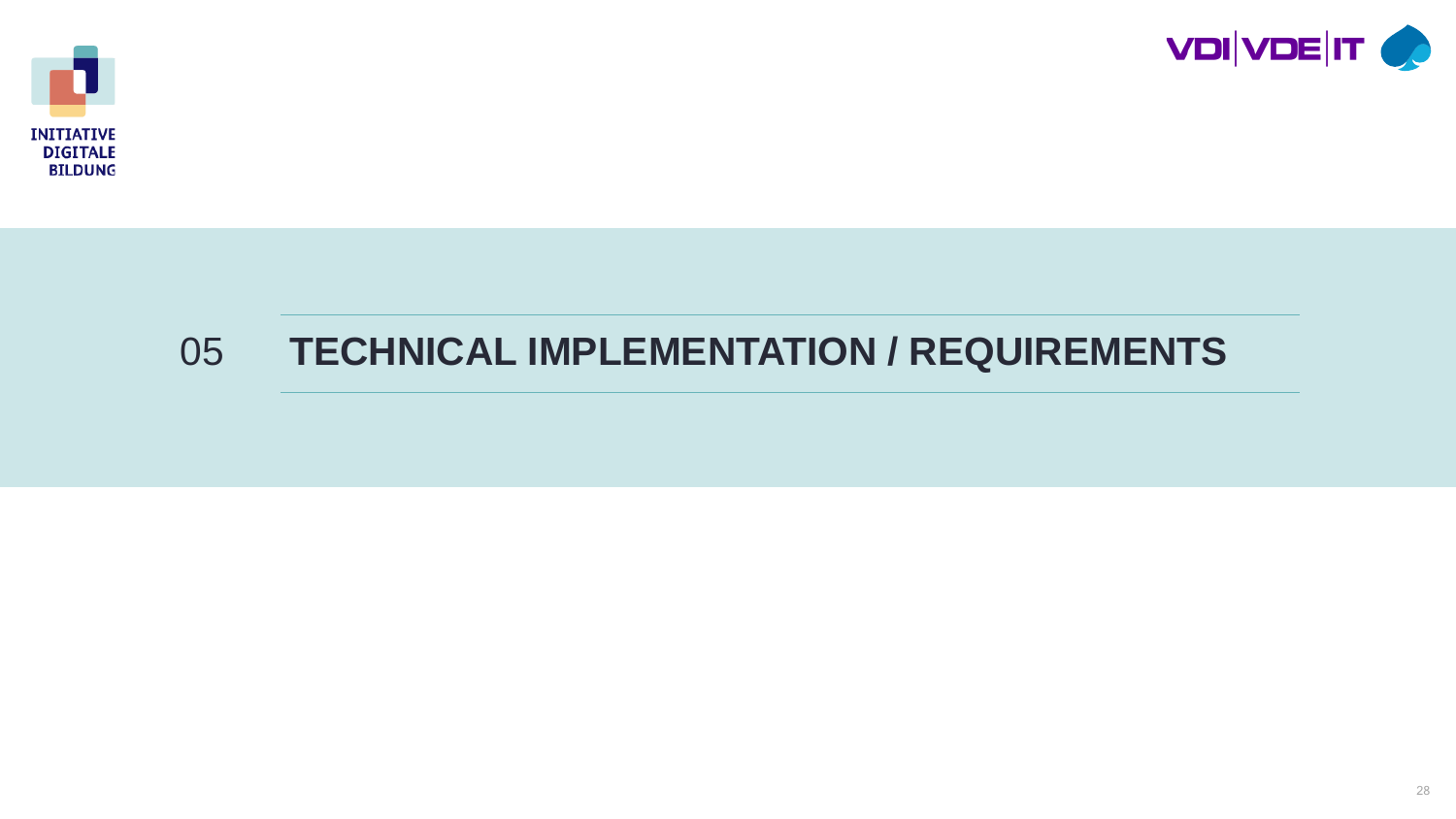



### **TECHNICAL IMPLEMENTATION / REQUIREMENTS**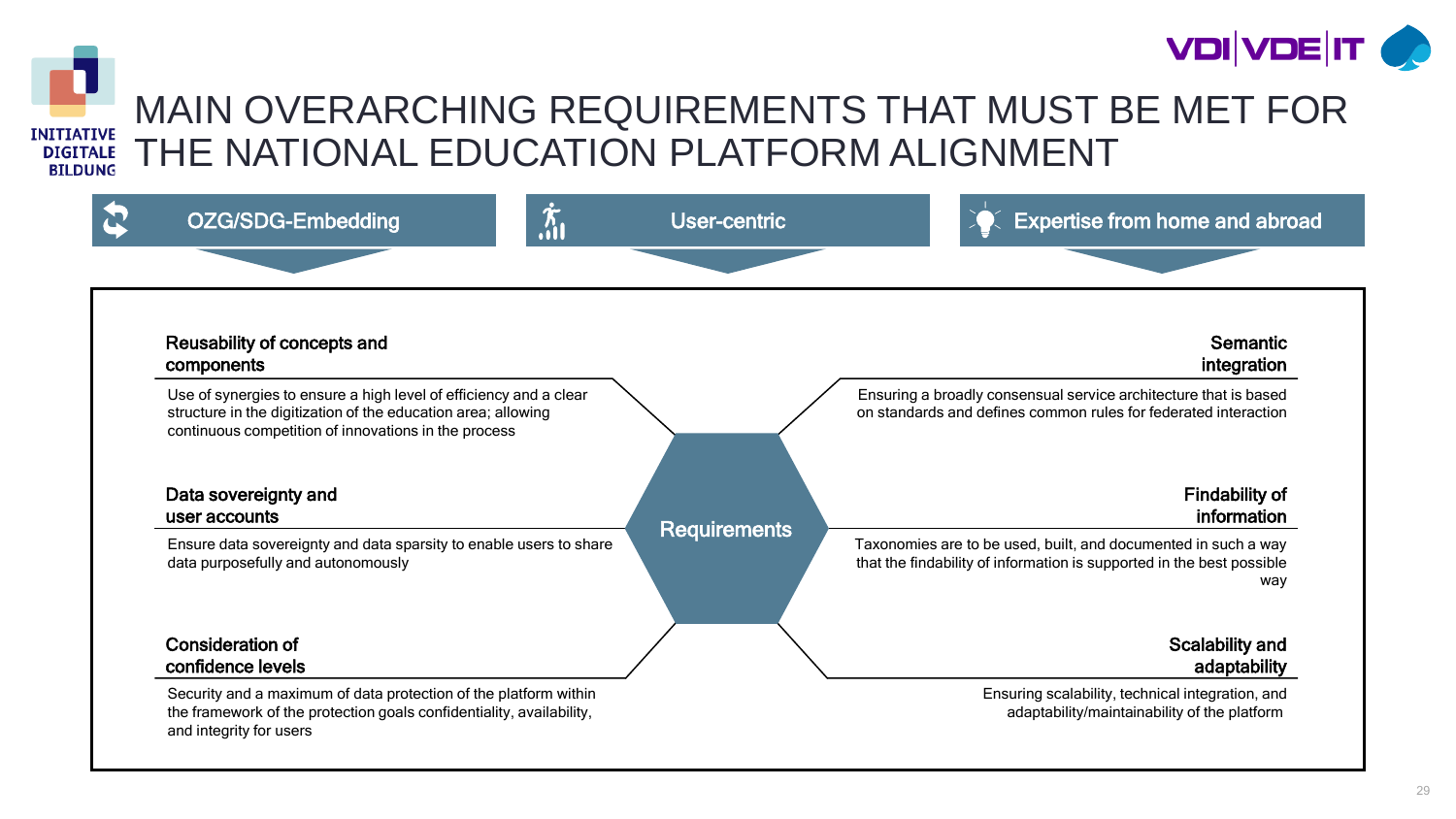



### MAIN OVERARCHING REQUIREMENTS THAT MUST BE MET FOR THE NATIONAL EDUCATION PLATFORM ALIGNMENT

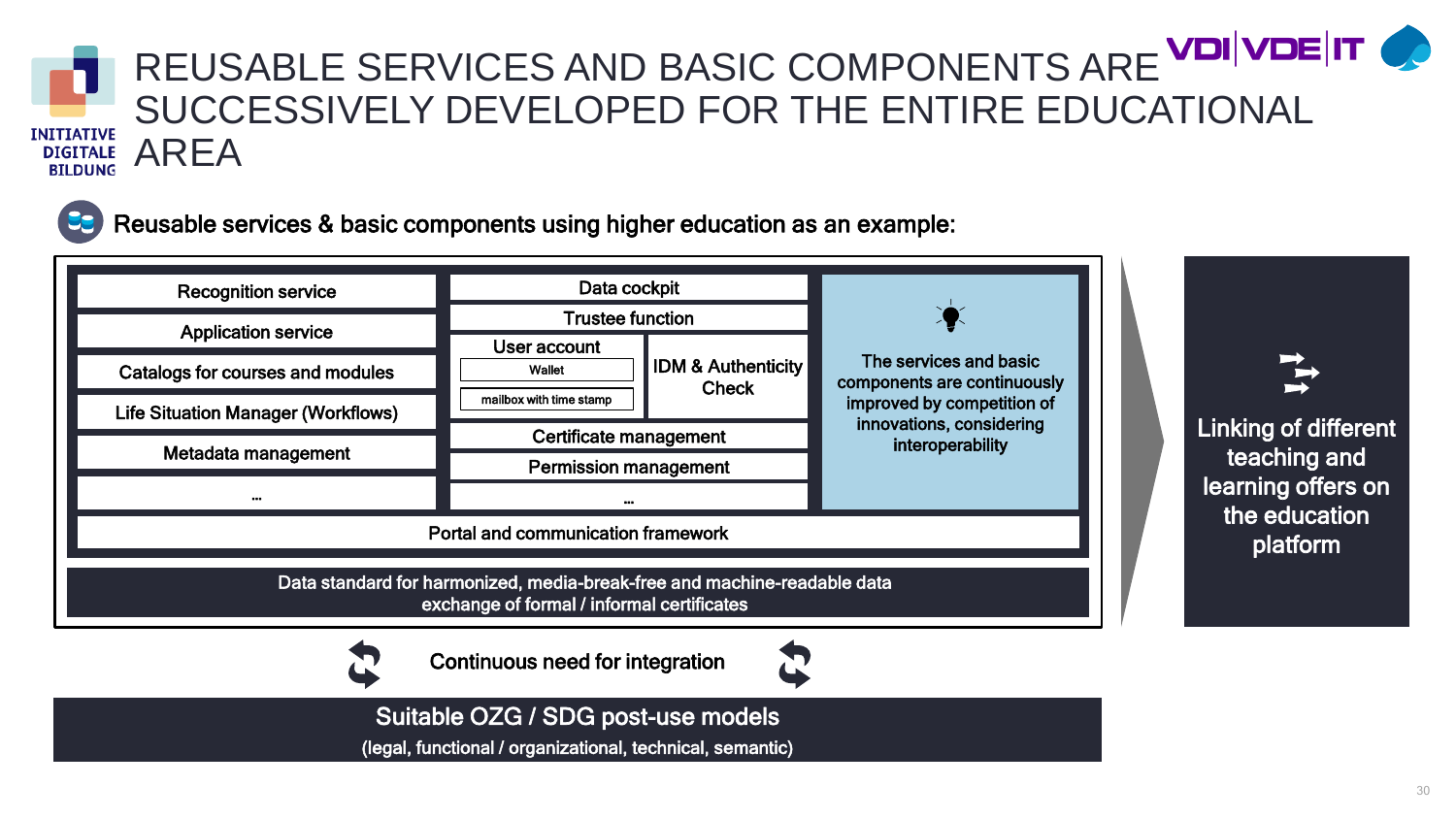

### REUSABLE SERVICES AND BASIC COMPONENTS ARE VOIVOEIT SUCCESSIVELY DEVELOPED FOR THE ENTIRE EDUCATIONAL AREA



Reusable services & basic components using higher education as an example:



Suitable OZG / SDG post-use models

(legal, functional / organizational, technical, semantic)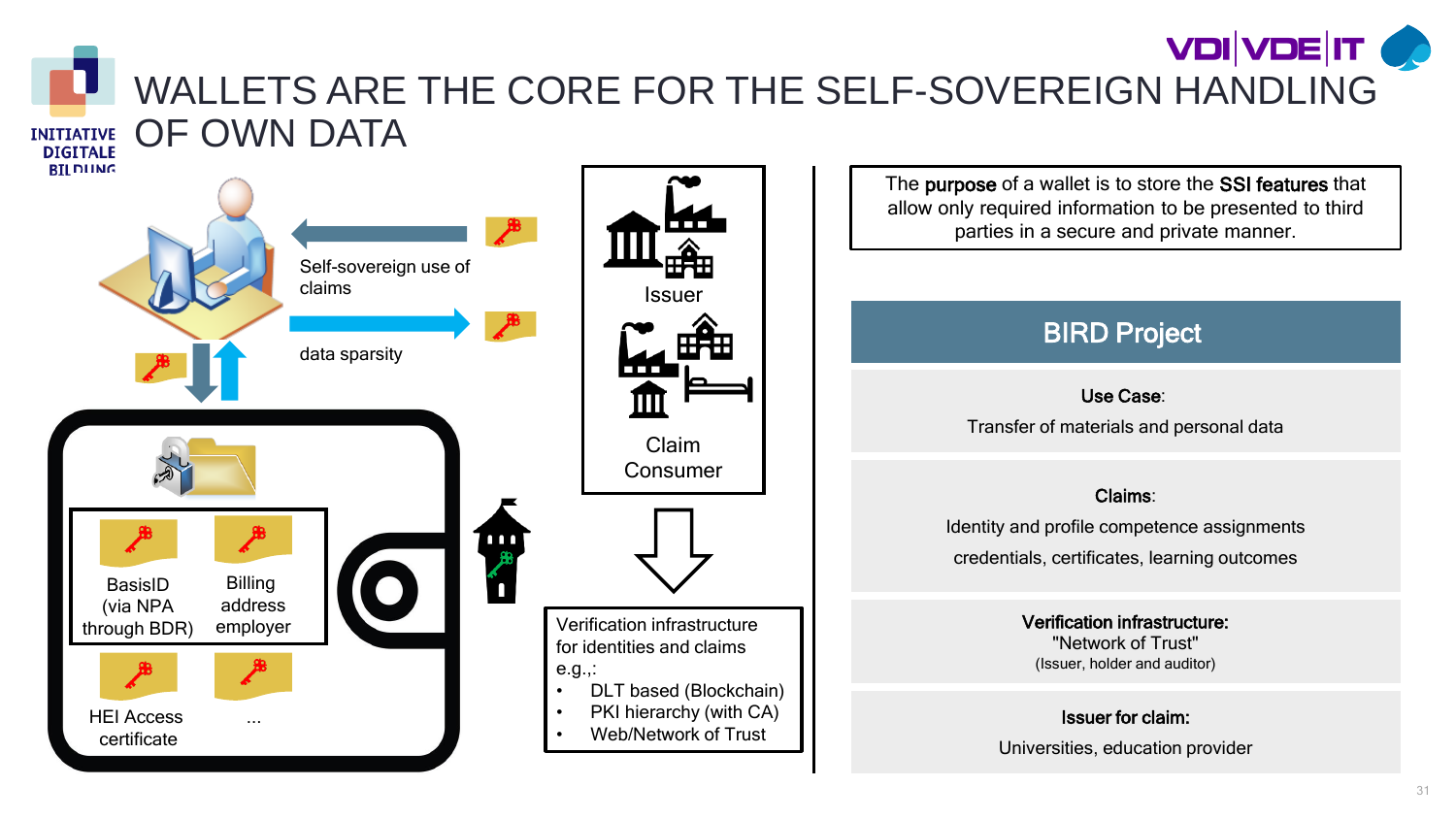#### **VDIVDE IT OF** WALLETS ARE THE CORE FOR THE SELF-SOVEREIGN HANDLING OF OWN DATA **INITIATIVE**



The purpose of a wallet is to store the SSI features that allow only required information to be presented to third parties in a secure and private manner.

### BIRD Project

#### Use Case:

Transfer of materials and personal data

#### Claims:

Identity and profile competence assignments credentials, certificates, learning outcomes

> Verification infrastructure: "Network of Trust" (Issuer, holder and auditor)

#### Issuer for claim:

Universities, education provider